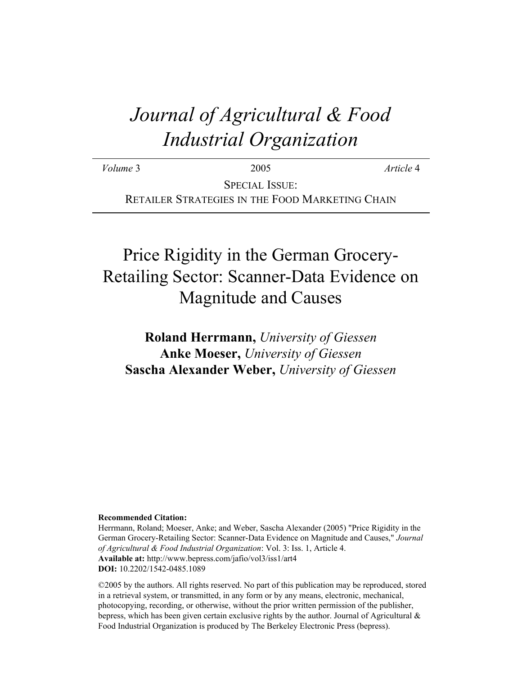# *Journal of Agricultural & Food Industrial Organization*

*Volume* 3 2005 *Article* 4

SPECIAL ISSUE: RETAILER STRATEGIES IN THE FOOD MARKETING CHAIN

# Price Rigidity in the German Grocery-Retailing Sector: Scanner-Data Evidence on Magnitude and Causes

**Roland Herrmann,** *University of Giessen* **Anke Moeser,** *University of Giessen* **Sascha Alexander Weber,** *University of Giessen*

#### **Recommended Citation:**

Herrmann, Roland; Moeser, Anke; and Weber, Sascha Alexander (2005) "Price Rigidity in the German Grocery-Retailing Sector: Scanner-Data Evidence on Magnitude and Causes," *Journal of Agricultural & Food Industrial Organization*: Vol. 3: Iss. 1, Article 4. **Available at:** http://www.bepress.com/jafio/vol3/iss1/art4 **DOI:** 10.2202/1542-0485.1089

©2005 by the authors. All rights reserved. No part of this publication may be reproduced, stored in a retrieval system, or transmitted, in any form or by any means, electronic, mechanical, photocopying, recording, or otherwise, without the prior written permission of the publisher, bepress, which has been given certain exclusive rights by the author. Journal of Agricultural  $\&$ Food Industrial Organization is produced by The Berkeley Electronic Press (bepress).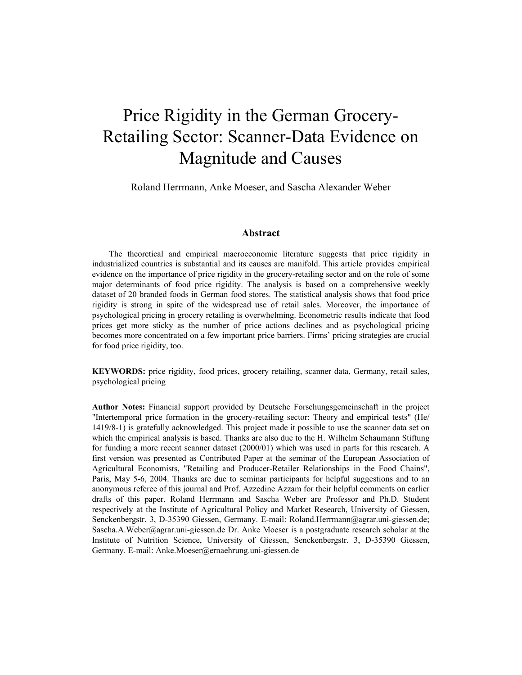# Price Rigidity in the German Grocery-Retailing Sector: Scanner-Data Evidence on Magnitude and Causes

Roland Herrmann, Anke Moeser, and Sascha Alexander Weber

#### **Abstract**

The theoretical and empirical macroeconomic literature suggests that price rigidity in industrialized countries is substantial and its causes are manifold. This article provides empirical evidence on the importance of price rigidity in the grocery-retailing sector and on the role of some major determinants of food price rigidity. The analysis is based on a comprehensive weekly dataset of 20 branded foods in German food stores. The statistical analysis shows that food price rigidity is strong in spite of the widespread use of retail sales. Moreover, the importance of psychological pricing in grocery retailing is overwhelming. Econometric results indicate that food prices get more sticky as the number of price actions declines and as psychological pricing becomes more concentrated on a few important price barriers. Firms' pricing strategies are crucial for food price rigidity, too.

**KEYWORDS:** price rigidity, food prices, grocery retailing, scanner data, Germany, retail sales, psychological pricing

**Author Notes:** Financial support provided by Deutsche Forschungsgemeinschaft in the project "Intertemporal price formation in the grocery-retailing sector: Theory and empirical tests" (He/ 1419/8-1) is gratefully acknowledged. This project made it possible to use the scanner data set on which the empirical analysis is based. Thanks are also due to the H. Wilhelm Schaumann Stiftung for funding a more recent scanner dataset (2000/01) which was used in parts for this research. A first version was presented as Contributed Paper at the seminar of the European Association of Agricultural Economists, "Retailing and Producer-Retailer Relationships in the Food Chains", Paris, May 5-6, 2004. Thanks are due to seminar participants for helpful suggestions and to an anonymous referee of this journal and Prof. Azzedine Azzam for their helpful comments on earlier drafts of this paper. Roland Herrmann and Sascha Weber are Professor and Ph.D. Student respectively at the Institute of Agricultural Policy and Market Research, University of Giessen, Senckenbergstr. 3, D-35390 Giessen, Germany. E-mail: Roland.Herrmann@agrar.uni-giessen.de; Sascha.A.Weber@agrar.uni-giessen.de Dr. Anke Moeser is a postgraduate research scholar at the Institute of Nutrition Science, University of Giessen, Senckenbergstr. 3, D-35390 Giessen, Germany. E-mail: Anke.Moeser@ernaehrung.uni-giessen.de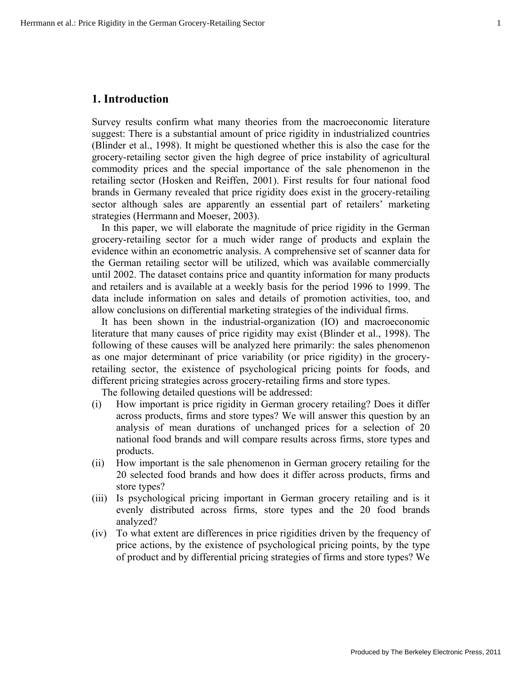# **1. Introduction**

Survey results confirm what many theories from the macroeconomic literature suggest: There is a substantial amount of price rigidity in industrialized countries (Blinder et al., 1998). It might be questioned whether this is also the case for the grocery-retailing sector given the high degree of price instability of agricultural commodity prices and the special importance of the sale phenomenon in the retailing sector (Hosken and Reiffen, 2001). First results for four national food brands in Germany revealed that price rigidity does exist in the grocery-retailing sector although sales are apparently an essential part of retailers' marketing strategies (Herrmann and Moeser, 2003).

In this paper, we will elaborate the magnitude of price rigidity in the German grocery-retailing sector for a much wider range of products and explain the evidence within an econometric analysis. A comprehensive set of scanner data for the German retailing sector will be utilized, which was available commercially until 2002. The dataset contains price and quantity information for many products and retailers and is available at a weekly basis for the period 1996 to 1999. The data include information on sales and details of promotion activities, too, and allow conclusions on differential marketing strategies of the individual firms.

It has been shown in the industrial-organization (IO) and macroeconomic literature that many causes of price rigidity may exist (Blinder et al., 1998). The following of these causes will be analyzed here primarily: the sales phenomenon as one major determinant of price variability (or price rigidity) in the groceryretailing sector, the existence of psychological pricing points for foods, and different pricing strategies across grocery-retailing firms and store types.

The following detailed questions will be addressed:

- (i) How important is price rigidity in German grocery retailing? Does it differ across products, firms and store types? We will answer this question by an analysis of mean durations of unchanged prices for a selection of 20 national food brands and will compare results across firms, store types and products.
- (ii) How important is the sale phenomenon in German grocery retailing for the 20 selected food brands and how does it differ across products, firms and store types?
- (iii) Is psychological pricing important in German grocery retailing and is it evenly distributed across firms, store types and the 20 food brands analyzed?
- (iv) To what extent are differences in price rigidities driven by the frequency of price actions, by the existence of psychological pricing points, by the type of product and by differential pricing strategies of firms and store types? We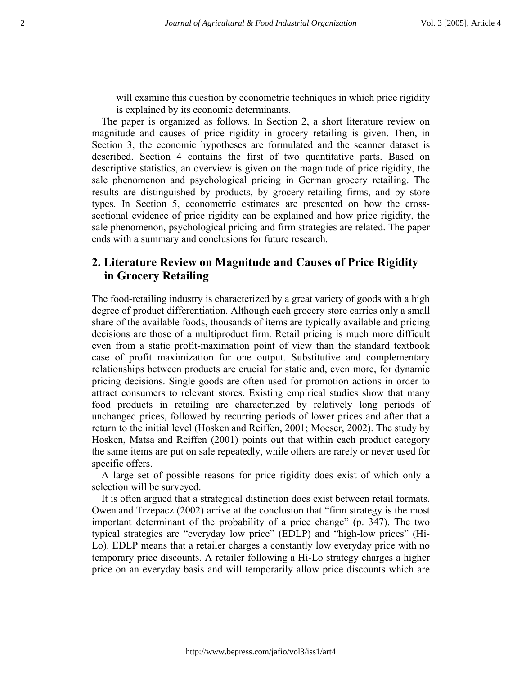will examine this question by econometric techniques in which price rigidity is explained by its economic determinants.

The paper is organized as follows. In Section 2, a short literature review on magnitude and causes of price rigidity in grocery retailing is given. Then, in Section 3, the economic hypotheses are formulated and the scanner dataset is described. Section 4 contains the first of two quantitative parts. Based on descriptive statistics, an overview is given on the magnitude of price rigidity, the sale phenomenon and psychological pricing in German grocery retailing. The results are distinguished by products, by grocery-retailing firms, and by store types. In Section 5, econometric estimates are presented on how the crosssectional evidence of price rigidity can be explained and how price rigidity, the sale phenomenon, psychological pricing and firm strategies are related. The paper ends with a summary and conclusions for future research.

# **2. Literature Review on Magnitude and Causes of Price Rigidity in Grocery Retailing**

The food-retailing industry is characterized by a great variety of goods with a high degree of product differentiation. Although each grocery store carries only a small share of the available foods, thousands of items are typically available and pricing decisions are those of a multiproduct firm. Retail pricing is much more difficult even from a static profit-maximation point of view than the standard textbook case of profit maximization for one output. Substitutive and complementary relationships between products are crucial for static and, even more, for dynamic pricing decisions. Single goods are often used for promotion actions in order to attract consumers to relevant stores. Existing empirical studies show that many food products in retailing are characterized by relatively long periods of unchanged prices, followed by recurring periods of lower prices and after that a return to the initial level (Hosken and Reiffen, 2001; Moeser, 2002). The study by Hosken, Matsa and Reiffen (2001) points out that within each product category the same items are put on sale repeatedly, while others are rarely or never used for specific offers.

A large set of possible reasons for price rigidity does exist of which only a selection will be surveyed.

It is often argued that a strategical distinction does exist between retail formats. Owen and Trzepacz (2002) arrive at the conclusion that "firm strategy is the most important determinant of the probability of a price change" (p. 347). The two typical strategies are "everyday low price" (EDLP) and "high-low prices" (Hi-Lo). EDLP means that a retailer charges a constantly low everyday price with no temporary price discounts. A retailer following a Hi-Lo strategy charges a higher price on an everyday basis and will temporarily allow price discounts which are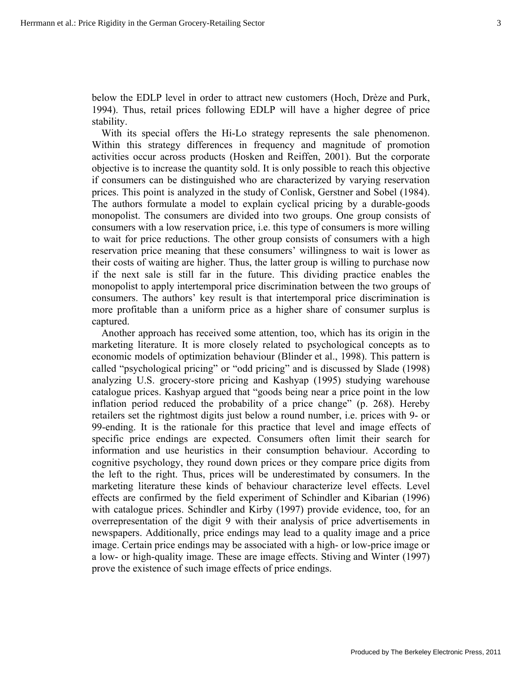below the EDLP level in order to attract new customers (Hoch, Drèze and Purk, 1994). Thus, retail prices following EDLP will have a higher degree of price stability.

With its special offers the Hi-Lo strategy represents the sale phenomenon. Within this strategy differences in frequency and magnitude of promotion activities occur across products (Hosken and Reiffen, 2001). But the corporate objective is to increase the quantity sold. It is only possible to reach this objective if consumers can be distinguished who are characterized by varying reservation prices. This point is analyzed in the study of Conlisk, Gerstner and Sobel (1984). The authors formulate a model to explain cyclical pricing by a durable-goods monopolist. The consumers are divided into two groups. One group consists of consumers with a low reservation price, i.e. this type of consumers is more willing to wait for price reductions. The other group consists of consumers with a high reservation price meaning that these consumers' willingness to wait is lower as their costs of waiting are higher. Thus, the latter group is willing to purchase now if the next sale is still far in the future. This dividing practice enables the monopolist to apply intertemporal price discrimination between the two groups of consumers. The authors' key result is that intertemporal price discrimination is more profitable than a uniform price as a higher share of consumer surplus is captured.

Another approach has received some attention, too, which has its origin in the marketing literature. It is more closely related to psychological concepts as to economic models of optimization behaviour (Blinder et al., 1998). This pattern is called "psychological pricing" or "odd pricing" and is discussed by Slade (1998) analyzing U.S. grocery-store pricing and Kashyap (1995) studying warehouse catalogue prices. Kashyap argued that "goods being near a price point in the low inflation period reduced the probability of a price change" (p. 268). Hereby retailers set the rightmost digits just below a round number, i.e. prices with 9- or 99-ending. It is the rationale for this practice that level and image effects of specific price endings are expected. Consumers often limit their search for information and use heuristics in their consumption behaviour. According to cognitive psychology, they round down prices or they compare price digits from the left to the right. Thus, prices will be underestimated by consumers. In the marketing literature these kinds of behaviour characterize level effects. Level effects are confirmed by the field experiment of Schindler and Kibarian (1996) with catalogue prices. Schindler and Kirby (1997) provide evidence, too, for an overrepresentation of the digit 9 with their analysis of price advertisements in newspapers. Additionally, price endings may lead to a quality image and a price image. Certain price endings may be associated with a high- or low-price image or a low- or high-quality image. These are image effects. Stiving and Winter (1997) prove the existence of such image effects of price endings.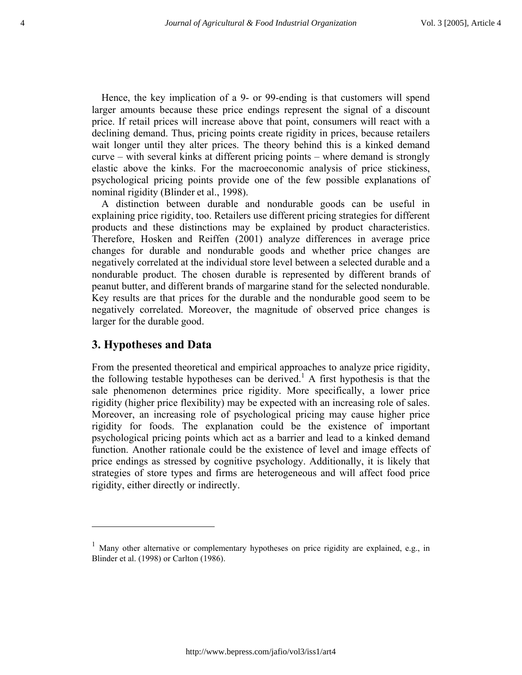Hence, the key implication of a 9- or 99-ending is that customers will spend larger amounts because these price endings represent the signal of a discount price. If retail prices will increase above that point, consumers will react with a declining demand. Thus, pricing points create rigidity in prices, because retailers wait longer until they alter prices. The theory behind this is a kinked demand curve – with several kinks at different pricing points – where demand is strongly elastic above the kinks. For the macroeconomic analysis of price stickiness, psychological pricing points provide one of the few possible explanations of nominal rigidity (Blinder et al., 1998).

A distinction between durable and nondurable goods can be useful in explaining price rigidity, too. Retailers use different pricing strategies for different products and these distinctions may be explained by product characteristics. Therefore, Hosken and Reiffen (2001) analyze differences in average price changes for durable and nondurable goods and whether price changes are negatively correlated at the individual store level between a selected durable and a nondurable product. The chosen durable is represented by different brands of peanut butter, and different brands of margarine stand for the selected nondurable. Key results are that prices for the durable and the nondurable good seem to be negatively correlated. Moreover, the magnitude of observed price changes is larger for the durable good.

### **3. Hypotheses and Data**

 $\overline{a}$ 

From the presented theoretical and empirical approaches to analyze price rigidity, the following testable hypotheses can be derived.<sup>1</sup> A first hypothesis is that the sale phenomenon determines price rigidity. More specifically, a lower price rigidity (higher price flexibility) may be expected with an increasing role of sales. Moreover, an increasing role of psychological pricing may cause higher price rigidity for foods. The explanation could be the existence of important psychological pricing points which act as a barrier and lead to a kinked demand function. Another rationale could be the existence of level and image effects of price endings as stressed by cognitive psychology. Additionally, it is likely that strategies of store types and firms are heterogeneous and will affect food price rigidity, either directly or indirectly.

<sup>&</sup>lt;sup>1</sup> Many other alternative or complementary hypotheses on price rigidity are explained, e.g., in Blinder et al. (1998) or Carlton (1986).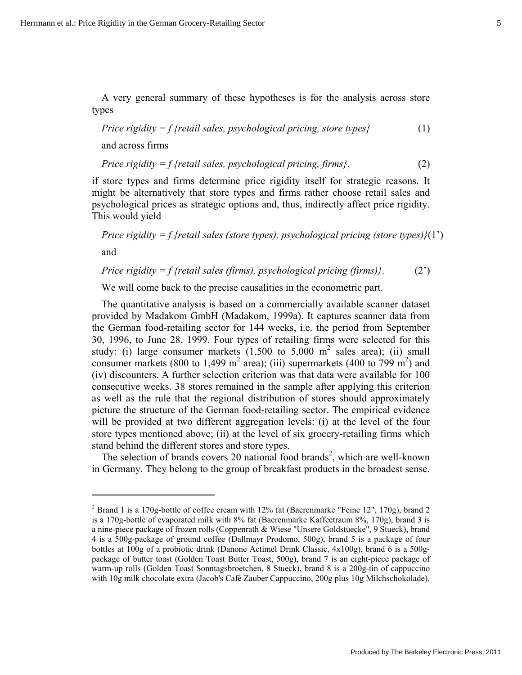$\overline{a}$ 

A very general summary of these hypotheses is for the analysis across store types

*Price rigidity = f {retail sales, psychological pricing, store types}* (1) and across firms

*Price rigidity = f {retail sales, psychological pricing, firms}*, (2)

if store types and firms determine price rigidity itself for strategic reasons. It might be alternatively that store types and firms rather choose retail sales and psychological prices as strategic options and, thus, indirectly affect price rigidity. This would yield

*Price rigidity = f {retail sales (store types), psychological pricing (store types)}*(1') and

*Price rigidity = f {retail sales (firms), psychological pricing (firms)}*. (2')

We will come back to the precise causalities in the econometric part.

The quantitative analysis is based on a commercially available scanner dataset provided by Madakom GmbH (Madakom, 1999a). It captures scanner data from the German food-retailing sector for 144 weeks, i.e. the period from September 30, 1996, to June 28, 1999. Four types of retailing firms were selected for this study: (i) large consumer markets  $(1,500 \text{ to } 5,000 \text{ m}^2 \text{ sales area})$ ; (ii) small consumer markets (800 to 1,499 m<sup>2</sup> area); (iii) supermarkets (400 to  $\frac{799 \text{ m}^2}{\text{m}^2}$ ) and (iv) discounters. A further selection criterion was that data were available for 100 consecutive weeks. 38 stores remained in the sample after applying this criterion as well as the rule that the regional distribution of stores should approximately picture the structure of the German food-retailing sector. The empirical evidence will be provided at two different aggregation levels: (i) at the level of the four store types mentioned above; (ii) at the level of six grocery-retailing firms which stand behind the different stores and store types.

The selection of brands covers 20 national food brands<sup>2</sup>, which are well-known in Germany. They belong to the group of breakfast products in the broadest sense.

<sup>&</sup>lt;sup>2</sup> Brand 1 is a 170g-bottle of coffee cream with 12% fat (Baerenmarke "Feine 12", 170g), brand 2 is a 170g-bottle of evaporated milk with 8% fat (Baerenmarke Kaffeetraum 8%, 170g), brand 3 is a nine-piece package of frozen rolls (Coppenrath & Wiese "Unsere Goldstuecke", 9 Stueck), brand 4 is a 500g-package of ground coffee (Dallmayr Prodomo, 500g), brand 5 is a package of four bottles at 100g of a probiotic drink (Danone Actimel Drink Classic, 4x100g), brand 6 is a 500gpackage of butter toast (Golden Toast Butter Toast, 500g), brand 7 is an eight-piece package of warm-up rolls (Golden Toast Sonntagsbroetchen, 8 Stueck), brand 8 is a 200g-tin of cappuccino with 10g milk chocolate extra (Jacob's Café Zauber Cappuccino, 200g plus 10g Milchschokolade),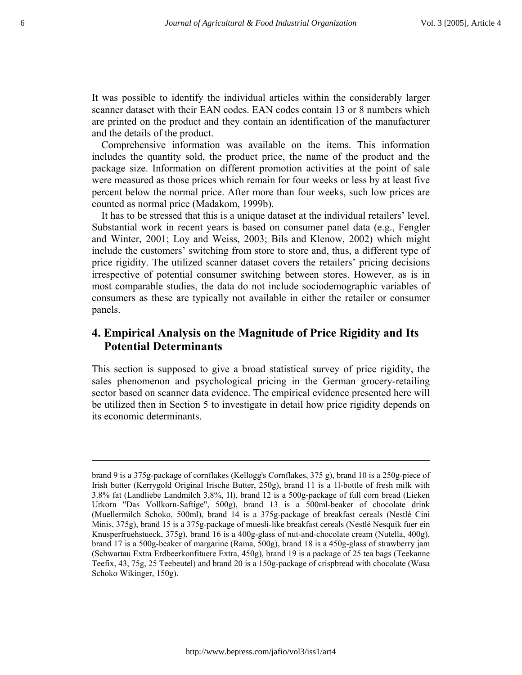It was possible to identify the individual articles within the considerably larger scanner dataset with their EAN codes. EAN codes contain 13 or 8 numbers which are printed on the product and they contain an identification of the manufacturer and the details of the product.

Comprehensive information was available on the items. This information includes the quantity sold, the product price, the name of the product and the package size. Information on different promotion activities at the point of sale were measured as those prices which remain for four weeks or less by at least five percent below the normal price. After more than four weeks, such low prices are counted as normal price (Madakom, 1999b).

It has to be stressed that this is a unique dataset at the individual retailers' level. Substantial work in recent years is based on consumer panel data (e.g., Fengler and Winter, 2001; Loy and Weiss, 2003; Bils and Klenow, 2002) which might include the customers' switching from store to store and, thus, a different type of price rigidity. The utilized scanner dataset covers the retailers' pricing decisions irrespective of potential consumer switching between stores. However, as is in most comparable studies, the data do not include sociodemographic variables of consumers as these are typically not available in either the retailer or consumer panels.

# **4. Empirical Analysis on the Magnitude of Price Rigidity and Its Potential Determinants**

This section is supposed to give a broad statistical survey of price rigidity, the sales phenomenon and psychological pricing in the German grocery-retailing sector based on scanner data evidence. The empirical evidence presented here will be utilized then in Section 5 to investigate in detail how price rigidity depends on its economic determinants.

 $\overline{a}$ 

brand 9 is a 375g-package of cornflakes (Kellogg's Cornflakes, 375 g), brand 10 is a 250g-piece of Irish butter (Kerrygold Original Irische Butter, 250g), brand 11 is a 1l-bottle of fresh milk with 3.8% fat (Landliebe Landmilch 3,8%, 1l), brand 12 is a 500g-package of full corn bread (Lieken Urkorn "Das Vollkorn-Saftige", 500g), brand 13 is a 500ml-beaker of chocolate drink (Muellermilch Schoko, 500ml), brand 14 is a 375g-package of breakfast cereals (Nestlé Cini Minis, 375g), brand 15 is a 375g-package of muesli-like breakfast cereals (Nestlé Nesquik fuer ein Knusperfruehstueck, 375g), brand 16 is a 400g-glass of nut-and-chocolate cream (Nutella, 400g), brand 17 is a 500g-beaker of margarine (Rama, 500g), brand 18 is a 450g-glass of strawberry jam (Schwartau Extra Erdbeerkonfituere Extra, 450g), brand 19 is a package of 25 tea bags (Teekanne Teefix, 43, 75g, 25 Teebeutel) and brand 20 is a 150g-package of crispbread with chocolate (Wasa Schoko Wikinger, 150g).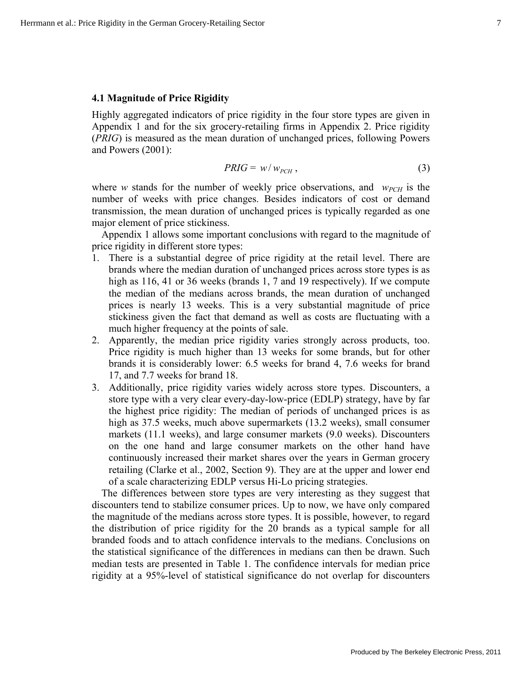#### **4.1 Magnitude of Price Rigidity**

Highly aggregated indicators of price rigidity in the four store types are given in Appendix 1 and for the six grocery-retailing firms in Appendix 2. Price rigidity (*PRIG*) is measured as the mean duration of unchanged prices, following Powers and Powers (2001):

$$
PRIG = w/w_{PCH}, \qquad (3)
$$

where *w* stands for the number of weekly price observations, and  $w_{PCH}$  is the number of weeks with price changes. Besides indicators of cost or demand transmission, the mean duration of unchanged prices is typically regarded as one major element of price stickiness.

Appendix 1 allows some important conclusions with regard to the magnitude of price rigidity in different store types:

- 1. There is a substantial degree of price rigidity at the retail level. There are brands where the median duration of unchanged prices across store types is as high as 116, 41 or 36 weeks (brands 1, 7 and 19 respectively). If we compute the median of the medians across brands, the mean duration of unchanged prices is nearly 13 weeks. This is a very substantial magnitude of price stickiness given the fact that demand as well as costs are fluctuating with a much higher frequency at the points of sale.
- 2. Apparently, the median price rigidity varies strongly across products, too. Price rigidity is much higher than 13 weeks for some brands, but for other brands it is considerably lower: 6.5 weeks for brand 4, 7.6 weeks for brand 17, and 7.7 weeks for brand 18.
- 3. Additionally, price rigidity varies widely across store types. Discounters, a store type with a very clear every-day-low-price (EDLP) strategy, have by far the highest price rigidity: The median of periods of unchanged prices is as high as 37.5 weeks, much above supermarkets (13.2 weeks), small consumer markets (11.1 weeks), and large consumer markets (9.0 weeks). Discounters on the one hand and large consumer markets on the other hand have continuously increased their market shares over the years in German grocery retailing (Clarke et al., 2002, Section 9). They are at the upper and lower end of a scale characterizing EDLP versus Hi-Lo pricing strategies.

The differences between store types are very interesting as they suggest that discounters tend to stabilize consumer prices. Up to now, we have only compared the magnitude of the medians across store types. It is possible, however, to regard the distribution of price rigidity for the 20 brands as a typical sample for all branded foods and to attach confidence intervals to the medians. Conclusions on the statistical significance of the differences in medians can then be drawn. Such median tests are presented in Table 1. The confidence intervals for median price rigidity at a 95%-level of statistical significance do not overlap for discounters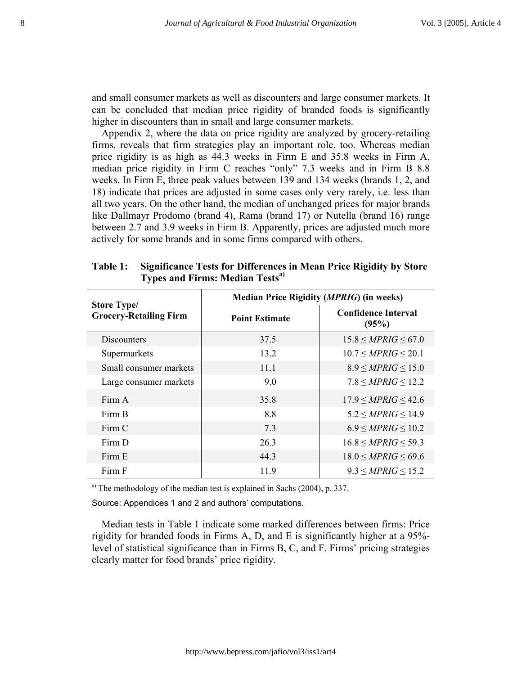and small consumer markets as well as discounters and large consumer markets. It can be concluded that median price rigidity of branded foods is significantly higher in discounters than in small and large consumer markets.

Appendix 2, where the data on price rigidity are analyzed by grocery-retailing firms, reveals that firm strategies play an important role, too. Whereas median price rigidity is as high as 44.3 weeks in Firm E and 35.8 weeks in Firm A, median price rigidity in Firm C reaches "only" 7.3 weeks and in Firm B 8.8 weeks. In Firm E, three peak values between 139 and 134 weeks (brands 1, 2, and 18) indicate that prices are adjusted in some cases only very rarely, i.e. less than all two years. On the other hand, the median of unchanged prices for major brands like Dallmayr Prodomo (brand 4), Rama (brand 17) or Nutella (brand 16) range between 2.7 and 3.9 weeks in Firm B. Apparently, prices are adjusted much more actively for some brands and in some firms compared with others.

|                                                     | <b>Median Price Rigidity (MPRIG) (in weeks)</b> |                                     |  |  |
|-----------------------------------------------------|-------------------------------------------------|-------------------------------------|--|--|
| <b>Store Type/</b><br><b>Grocery-Retailing Firm</b> | <b>Point Estimate</b>                           | <b>Confidence Interval</b><br>(95%) |  |  |
| <b>Discounters</b>                                  | 37.5                                            | $15.8 \leq MPRIG \leq 67.0$         |  |  |
| Supermarkets                                        | 13.2                                            | $10.7 \leq MPRIG \leq 20.1$         |  |  |
| Small consumer markets                              | 11.1                                            | $8.9 \leq MPRIG \leq 15.0$          |  |  |
| Large consumer markets                              | 9.0                                             | $7.8 \leq MPRIG \leq 12.2$          |  |  |
| Firm A                                              | 35.8                                            | $17.9 \leq MPRIG \leq 42.6$         |  |  |
| Firm B                                              | 8.8                                             | $5.2 \leq MPRIG \leq 14.9$          |  |  |
| Firm C                                              | 7.3                                             | $6.9 \leq MPRIG \leq 10.2$          |  |  |
| Firm D                                              | 26.3                                            | $16.8 \leq MPRIG \leq 59.3$         |  |  |
| Firm E                                              | 44.3                                            | $18.0 \leq MPRIG \leq 69.6$         |  |  |
| Firm F                                              | 11.9                                            | $9.3 \le MPRIG \le 15.2$            |  |  |

**Table 1: Significance Tests for Differences in Mean Price Rigidity by Store Types and Firms: Median Testsa)**

 $a)$  The methodology of the median test is explained in Sachs (2004), p. 337.

Source: Appendices 1 and 2 and authors' computations.

Median tests in Table 1 indicate some marked differences between firms: Price rigidity for branded foods in Firms A, D, and E is significantly higher at a 95% level of statistical significance than in Firms B, C, and F. Firms' pricing strategies clearly matter for food brands' price rigidity.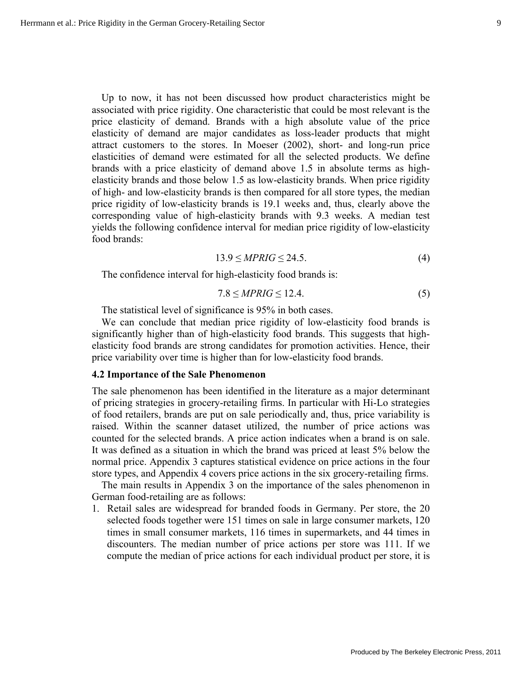Up to now, it has not been discussed how product characteristics might be associated with price rigidity. One characteristic that could be most relevant is the price elasticity of demand. Brands with a high absolute value of the price elasticity of demand are major candidates as loss-leader products that might attract customers to the stores. In Moeser (2002), short- and long-run price elasticities of demand were estimated for all the selected products. We define brands with a price elasticity of demand above 1.5 in absolute terms as highelasticity brands and those below 1.5 as low-elasticity brands. When price rigidity of high- and low-elasticity brands is then compared for all store types, the median price rigidity of low-elasticity brands is 19.1 weeks and, thus, clearly above the corresponding value of high-elasticity brands with 9.3 weeks. A median test yields the following confidence interval for median price rigidity of low-elasticity food brands:

$$
13.9 \leq MPRIG \leq 24.5. \tag{4}
$$

The confidence interval for high-elasticity food brands is:

$$
7.8 \le MPRIG \le 12.4. \tag{5}
$$

The statistical level of significance is 95% in both cases.

We can conclude that median price rigidity of low-elasticity food brands is significantly higher than of high-elasticity food brands. This suggests that highelasticity food brands are strong candidates for promotion activities. Hence, their price variability over time is higher than for low-elasticity food brands.

#### **4.2 Importance of the Sale Phenomenon**

The sale phenomenon has been identified in the literature as a major determinant of pricing strategies in grocery-retailing firms. In particular with Hi-Lo strategies of food retailers, brands are put on sale periodically and, thus, price variability is raised. Within the scanner dataset utilized, the number of price actions was counted for the selected brands. A price action indicates when a brand is on sale. It was defined as a situation in which the brand was priced at least 5% below the normal price. Appendix 3 captures statistical evidence on price actions in the four store types, and Appendix 4 covers price actions in the six grocery-retailing firms.

The main results in Appendix 3 on the importance of the sales phenomenon in German food-retailing are as follows:

1. Retail sales are widespread for branded foods in Germany. Per store, the 20 selected foods together were 151 times on sale in large consumer markets, 120 times in small consumer markets, 116 times in supermarkets, and 44 times in discounters. The median number of price actions per store was 111. If we compute the median of price actions for each individual product per store, it is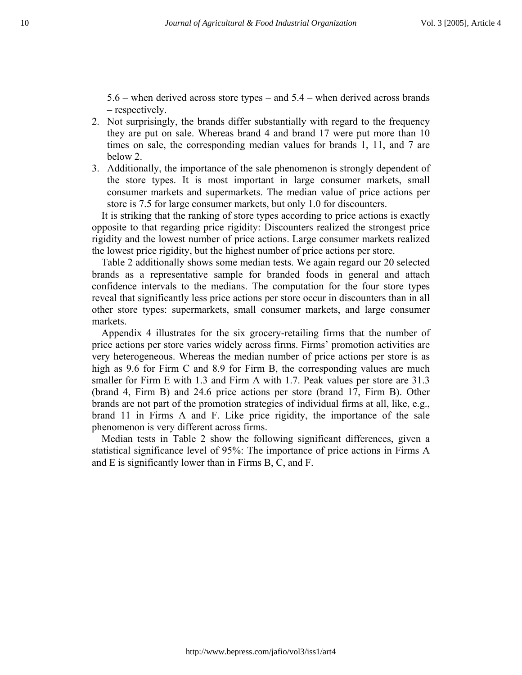5.6 – when derived across store types – and 5.4 – when derived across brands – respectively.

- 2. Not surprisingly, the brands differ substantially with regard to the frequency they are put on sale. Whereas brand 4 and brand 17 were put more than 10 times on sale, the corresponding median values for brands 1, 11, and 7 are below 2.
- 3. Additionally, the importance of the sale phenomenon is strongly dependent of the store types. It is most important in large consumer markets, small consumer markets and supermarkets. The median value of price actions per store is 7.5 for large consumer markets, but only 1.0 for discounters.

It is striking that the ranking of store types according to price actions is exactly opposite to that regarding price rigidity: Discounters realized the strongest price rigidity and the lowest number of price actions. Large consumer markets realized the lowest price rigidity, but the highest number of price actions per store.

Table 2 additionally shows some median tests. We again regard our 20 selected brands as a representative sample for branded foods in general and attach confidence intervals to the medians. The computation for the four store types reveal that significantly less price actions per store occur in discounters than in all other store types: supermarkets, small consumer markets, and large consumer markets.

Appendix 4 illustrates for the six grocery-retailing firms that the number of price actions per store varies widely across firms. Firms' promotion activities are very heterogeneous. Whereas the median number of price actions per store is as high as 9.6 for Firm C and 8.9 for Firm B, the corresponding values are much smaller for Firm E with 1.3 and Firm A with 1.7. Peak values per store are 31.3 (brand 4, Firm B) and 24.6 price actions per store (brand 17, Firm B). Other brands are not part of the promotion strategies of individual firms at all, like, e.g., brand 11 in Firms A and F. Like price rigidity, the importance of the sale phenomenon is very different across firms.

Median tests in Table 2 show the following significant differences, given a statistical significance level of 95%: The importance of price actions in Firms A and E is significantly lower than in Firms B, C, and F.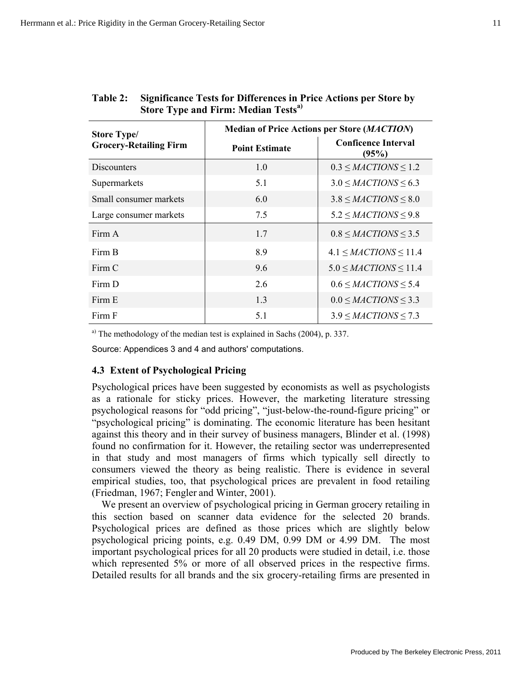| Table 2:                                            | <b>Significance Tests for Differences in Price Actions per Store by</b><br>Store Type and Firm: Median Tests <sup>a)</sup> |                                                                                           |  |
|-----------------------------------------------------|----------------------------------------------------------------------------------------------------------------------------|-------------------------------------------------------------------------------------------|--|
| <b>Store Type/</b><br><b>Grocery-Retailing Firm</b> | <b>Point Estimate</b>                                                                                                      | <b>Median of Price Actions per Store (MACTION)</b><br><b>Conficence Interval</b><br>(95%) |  |
| Discounters                                         | 1.0                                                                                                                        | $0.3 \leq MACTIONS \leq 1.2$                                                              |  |
| Supermarkets                                        | 5.1                                                                                                                        | $3.0 \leq MACTIONS \leq 6.3$                                                              |  |
| Small consumer markets                              | 6.0                                                                                                                        | $3.8 \leq MACTIONS \leq 8.0$                                                              |  |
| Large consumer markets                              | 7.5                                                                                                                        | $5.2 \leq MACTIONS \leq 9.8$                                                              |  |
| Firm A                                              | 1.7                                                                                                                        | $0.8 \leq MACTIONS \leq 3.5$                                                              |  |
| Firm B                                              | 8.9                                                                                                                        | $4.1 \leq MACTIONS \leq 11.4$                                                             |  |
| Firm C                                              | 9.6                                                                                                                        | $5.0 \leq MACTIONS \leq 11.4$                                                             |  |
| Firm D                                              | 2.6                                                                                                                        | $0.6 \leq MACTIONS \leq 5.4$                                                              |  |

# **Table 2: Significance Tests for Differences in Price Actions per Store by**

<sup>a)</sup> The methodology of the median test is explained in Sachs (2004), p. 337.

Source: Appendices 3 and 4 and authors' computations.

#### **4.3 Extent of Psychological Pricing**

Psychological prices have been suggested by economists as well as psychologists as a rationale for sticky prices. However, the marketing literature stressing psychological reasons for "odd pricing", "just-below-the-round-figure pricing" or "psychological pricing" is dominating. The economic literature has been hesitant against this theory and in their survey of business managers, Blinder et al. (1998) found no confirmation for it. However, the retailing sector was underrepresented in that study and most managers of firms which typically sell directly to consumers viewed the theory as being realistic. There is evidence in several empirical studies, too, that psychological prices are prevalent in food retailing (Friedman, 1967; Fengler and Winter, 2001).

Firm E 1.3  $1.3 \t\t 1.3 \t\t 0.0 \leq MACTIONS \leq 3.3$ Firm F 5.1 5.1 3.9 ≤ *MACTIONS* ≤ 7.3

We present an overview of psychological pricing in German grocery retailing in this section based on scanner data evidence for the selected 20 brands. Psychological prices are defined as those prices which are slightly below psychological pricing points, e.g. 0.49 DM, 0.99 DM or 4.99 DM. The most important psychological prices for all 20 products were studied in detail, i.e. those which represented 5% or more of all observed prices in the respective firms. Detailed results for all brands and the six grocery-retailing firms are presented in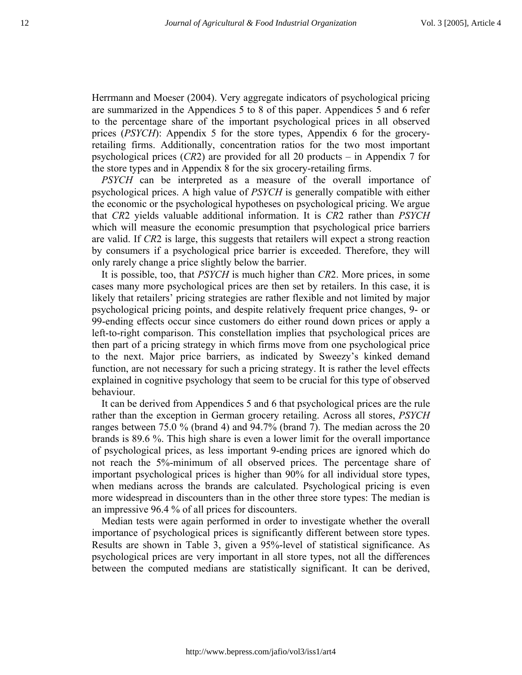Herrmann and Moeser (2004). Very aggregate indicators of psychological pricing are summarized in the Appendices 5 to 8 of this paper. Appendices 5 and 6 refer to the percentage share of the important psychological prices in all observed prices (*PSYCH*): Appendix 5 for the store types, Appendix 6 for the groceryretailing firms. Additionally, concentration ratios for the two most important psychological prices (*CR*2) are provided for all 20 products – in Appendix 7 for the store types and in Appendix 8 for the six grocery-retailing firms.

*PSYCH* can be interpreted as a measure of the overall importance of psychological prices. A high value of *PSYCH* is generally compatible with either the economic or the psychological hypotheses on psychological pricing. We argue that *CR*2 yields valuable additional information. It is *CR*2 rather than *PSYCH* which will measure the economic presumption that psychological price barriers are valid. If *CR*2 is large, this suggests that retailers will expect a strong reaction by consumers if a psychological price barrier is exceeded. Therefore, they will only rarely change a price slightly below the barrier.

It is possible, too, that *PSYCH* is much higher than *CR*2. More prices, in some cases many more psychological prices are then set by retailers. In this case, it is likely that retailers' pricing strategies are rather flexible and not limited by major psychological pricing points, and despite relatively frequent price changes, 9- or 99-ending effects occur since customers do either round down prices or apply a left-to-right comparison. This constellation implies that psychological prices are then part of a pricing strategy in which firms move from one psychological price to the next. Major price barriers, as indicated by Sweezy's kinked demand function, are not necessary for such a pricing strategy. It is rather the level effects explained in cognitive psychology that seem to be crucial for this type of observed behaviour.

It can be derived from Appendices 5 and 6 that psychological prices are the rule rather than the exception in German grocery retailing. Across all stores, *PSYCH* ranges between 75.0 % (brand 4) and 94.7% (brand 7). The median across the 20 brands is 89.6 %. This high share is even a lower limit for the overall importance of psychological prices, as less important 9-ending prices are ignored which do not reach the 5%-minimum of all observed prices. The percentage share of important psychological prices is higher than 90% for all individual store types, when medians across the brands are calculated. Psychological pricing is even more widespread in discounters than in the other three store types: The median is an impressive 96.4 % of all prices for discounters.

Median tests were again performed in order to investigate whether the overall importance of psychological prices is significantly different between store types. Results are shown in Table 3, given a 95%-level of statistical significance. As psychological prices are very important in all store types, not all the differences between the computed medians are statistically significant. It can be derived,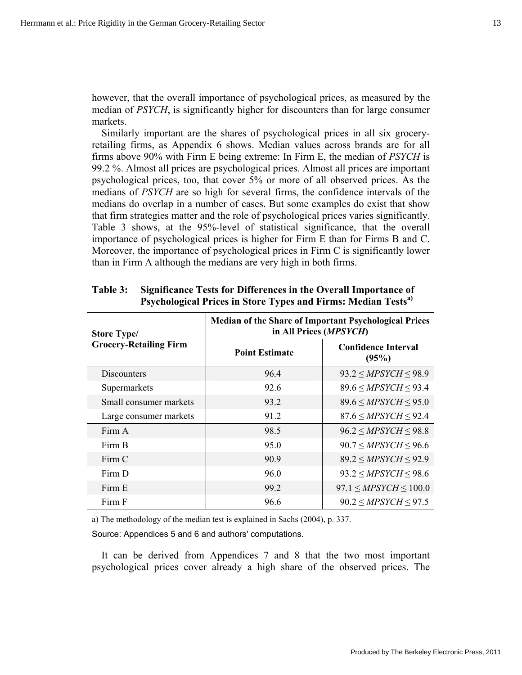however, that the overall importance of psychological prices, as measured by the median of *PSYCH*, is significantly higher for discounters than for large consumer markets.

Similarly important are the shares of psychological prices in all six groceryretailing firms, as Appendix 6 shows. Median values across brands are for all firms above 90% with Firm E being extreme: In Firm E, the median of *PSYCH* is 99.2 %. Almost all prices are psychological prices. Almost all prices are important psychological prices, too, that cover 5% or more of all observed prices. As the medians of *PSYCH* are so high for several firms, the confidence intervals of the medians do overlap in a number of cases. But some examples do exist that show that firm strategies matter and the role of psychological prices varies significantly. Table 3 shows, at the 95%-level of statistical significance, that the overall importance of psychological prices is higher for Firm E than for Firms B and C. Moreover, the importance of psychological prices in Firm C is significantly lower than in Firm A although the medians are very high in both firms.

| <b>Store Type/</b>            | <b>Median of the Share of Important Psychological Prices</b><br>in All Prices (MPSYCH) |                                     |  |  |
|-------------------------------|----------------------------------------------------------------------------------------|-------------------------------------|--|--|
| <b>Grocery-Retailing Firm</b> | <b>Point Estimate</b>                                                                  | <b>Confidence Interval</b><br>(95%) |  |  |
| <b>Discounters</b>            | 96.4                                                                                   | $93.2 \le MPSYCH \le 98.9$          |  |  |
| Supermarkets                  | 92.6                                                                                   | $89.6 \le MPSYCH \le 93.4$          |  |  |
| Small consumer markets        | 93.2                                                                                   | $89.6 \le MPSYCH \le 95.0$          |  |  |
| Large consumer markets        | 91.2                                                                                   | $87.6 \le MPSYCH \le 92.4$          |  |  |
| Firm A                        | 98.5                                                                                   | $96.2 \le MPSYCH \le 98.8$          |  |  |
| Firm B                        | 95.0                                                                                   | $90.7 \le MPSYCH \le 96.6$          |  |  |
| Firm C                        | 90.9                                                                                   | $89.2 \le MPSYCH \le 92.9$          |  |  |
| Firm D                        | 96.0                                                                                   | $93.2 \leq MPSYCH \leq 98.6$        |  |  |
| Firm E                        | 99.2                                                                                   | $97.1 \leq MPSYCH \leq 100.0$       |  |  |
| Firm F                        | 96.6                                                                                   | $90.2 \le MPSYCH \le 97.5$          |  |  |

**Table 3: Significance Tests for Differences in the Overall Importance of Psychological Prices in Store Types and Firms: Median Testsa)**

a) The methodology of the median test is explained in Sachs (2004), p. 337.

Source: Appendices 5 and 6 and authors' computations.

It can be derived from Appendices 7 and 8 that the two most important psychological prices cover already a high share of the observed prices. The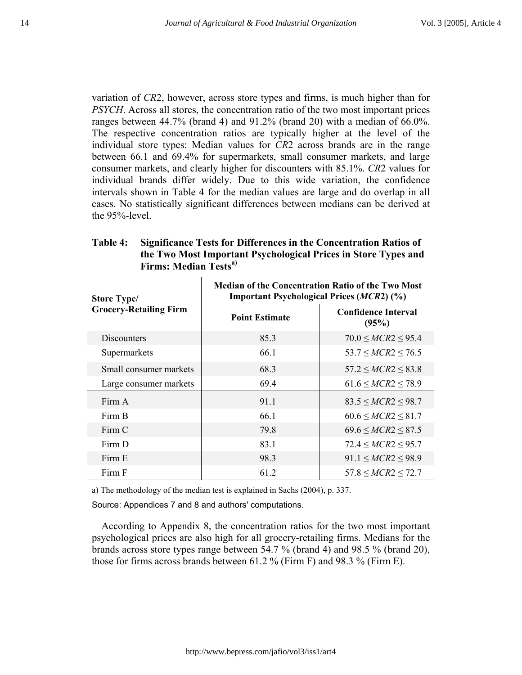variation of *CR*2, however, across store types and firms, is much higher than for *PSYCH*. Across all stores, the concentration ratio of the two most important prices ranges between 44.7% (brand 4) and 91.2% (brand 20) with a median of 66.0%. The respective concentration ratios are typically higher at the level of the individual store types: Median values for *CR*2 across brands are in the range between 66.1 and 69.4% for supermarkets, small consumer markets, and large consumer markets, and clearly higher for discounters with 85.1%. *CR*2 values for individual brands differ widely. Due to this wide variation, the confidence intervals shown in Table 4 for the median values are large and do overlap in all cases. No statistically significant differences between medians can be derived at the 95%-level.

| <b>Store Type/</b>            | <b>Median of the Concentration Ratio of the Two Most</b><br><b>Important Psychological Prices (MCR2) (%)</b> |                                     |  |  |
|-------------------------------|--------------------------------------------------------------------------------------------------------------|-------------------------------------|--|--|
| <b>Grocery-Retailing Firm</b> | <b>Point Estimate</b>                                                                                        | <b>Confidence Interval</b><br>(95%) |  |  |
| <b>Discounters</b>            | 85.3                                                                                                         | $70.0 \leq MCR2 \leq 95.4$          |  |  |
| Supermarkets                  | 66.1                                                                                                         | $53.7 \leq MCR2 \leq 76.5$          |  |  |
| Small consumer markets        | 68.3                                                                                                         | $57.2 \leq MCR2 \leq 83.8$          |  |  |
| Large consumer markets        | 69.4                                                                                                         | $61.6 \leq MCR2 \leq 78.9$          |  |  |
| Firm A                        | 91.1                                                                                                         | $83.5 \leq MCR2 \leq 98.7$          |  |  |
| Firm B                        | 661                                                                                                          | $60.6 \leq MCR2 \leq 81.7$          |  |  |
| Firm $C$                      | 79.8                                                                                                         | $69.6 \leq MCR2 \leq 87.5$          |  |  |
| Firm D                        | 83.1                                                                                                         | $72.4 \le MCR2 \le 95.7$            |  |  |
| Firm E                        | 98.3                                                                                                         | $91.1 \leq MCR2 \leq 98.9$          |  |  |
| Firm F                        | 61.2                                                                                                         | $57.8 \leq MCR2 \leq 72.7$          |  |  |

# **Table 4: Significance Tests for Differences in the Concentration Ratios of the Two Most Important Psychological Prices in Store Types and Firms: Median Testsa)**

a) The methodology of the median test is explained in Sachs (2004), p. 337.

Source: Appendices 7 and 8 and authors' computations.

According to Appendix 8, the concentration ratios for the two most important psychological prices are also high for all grocery-retailing firms. Medians for the brands across store types range between 54.7 % (brand 4) and 98.5 % (brand 20), those for firms across brands between 61.2 % (Firm F) and 98.3 % (Firm E).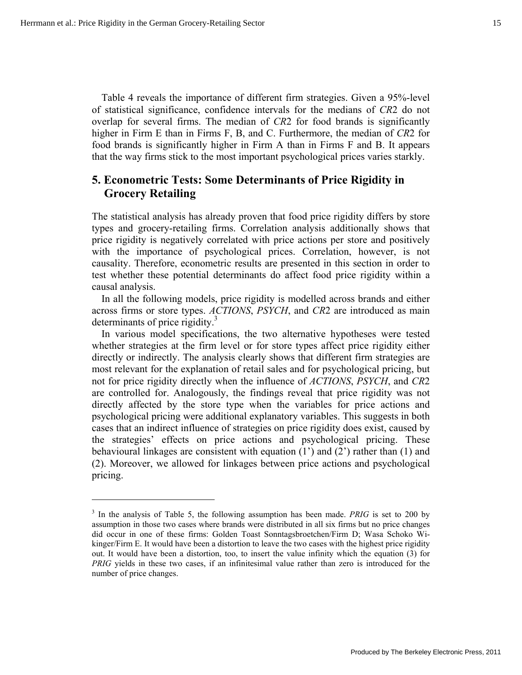$\overline{a}$ 

Table 4 reveals the importance of different firm strategies. Given a 95%-level of statistical significance, confidence intervals for the medians of *CR*2 do not overlap for several firms. The median of *CR*2 for food brands is significantly higher in Firm E than in Firms F, B, and C. Furthermore, the median of *CR*2 for food brands is significantly higher in Firm A than in Firms F and B. It appears that the way firms stick to the most important psychological prices varies starkly.

# **5. Econometric Tests: Some Determinants of Price Rigidity in Grocery Retailing**

The statistical analysis has already proven that food price rigidity differs by store types and grocery-retailing firms. Correlation analysis additionally shows that price rigidity is negatively correlated with price actions per store and positively with the importance of psychological prices. Correlation, however, is not causality. Therefore, econometric results are presented in this section in order to test whether these potential determinants do affect food price rigidity within a causal analysis.

In all the following models, price rigidity is modelled across brands and either across firms or store types. *ACTIONS*, *PSYCH*, and *CR*2 are introduced as main determinants of price rigidity. $3$ 

In various model specifications, the two alternative hypotheses were tested whether strategies at the firm level or for store types affect price rigidity either directly or indirectly. The analysis clearly shows that different firm strategies are most relevant for the explanation of retail sales and for psychological pricing, but not for price rigidity directly when the influence of *ACTIONS*, *PSYCH*, and *CR*2 are controlled for. Analogously, the findings reveal that price rigidity was not directly affected by the store type when the variables for price actions and psychological pricing were additional explanatory variables. This suggests in both cases that an indirect influence of strategies on price rigidity does exist, caused by the strategies' effects on price actions and psychological pricing. These behavioural linkages are consistent with equation (1') and (2') rather than (1) and (2). Moreover, we allowed for linkages between price actions and psychological pricing.

<sup>&</sup>lt;sup>3</sup> In the analysis of Table 5, the following assumption has been made. *PRIG* is set to 200 by assumption in those two cases where brands were distributed in all six firms but no price changes did occur in one of these firms: Golden Toast Sonntagsbroetchen/Firm D; Wasa Schoko Wikinger/Firm E. It would have been a distortion to leave the two cases with the highest price rigidity out. It would have been a distortion, too, to insert the value infinity which the equation (3) for *PRIG* yields in these two cases, if an infinitesimal value rather than zero is introduced for the number of price changes.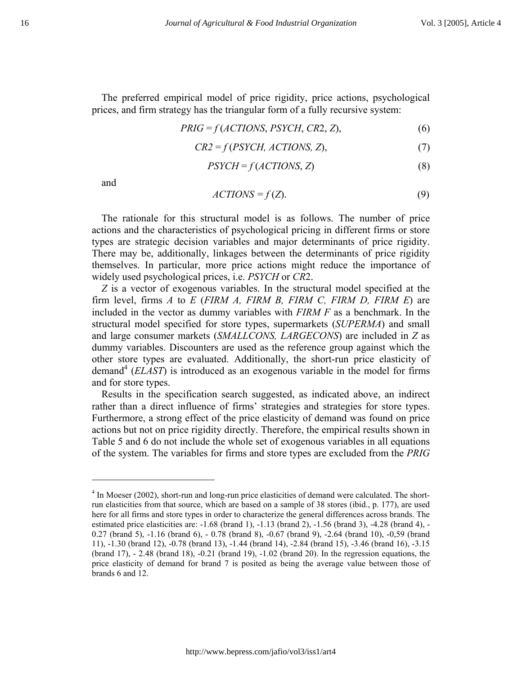The preferred empirical model of price rigidity, price actions, psychological prices, and firm strategy has the triangular form of a fully recursive system:

$$
PRIG = f(ACTIONS, PSYCH, CR2, Z),
$$
\n(6)

$$
CR2 = f(PSYCH, ACTIONS, Z), \tag{7}
$$

$$
PSYCH = f(ACTIONS, Z)
$$
 (8)

and

 $\overline{a}$ 

$$
ACTIONS = f(Z). \tag{9}
$$

The rationale for this structural model is as follows. The number of price actions and the characteristics of psychological pricing in different firms or store types are strategic decision variables and major determinants of price rigidity. There may be, additionally, linkages between the determinants of price rigidity themselves. In particular, more price actions might reduce the importance of widely used psychological prices, i.e. *PSYCH* or *CR*2.

*Z* is a vector of exogenous variables. In the structural model specified at the firm level, firms *A* to *E* (*FIRM A, FIRM B, FIRM C, FIRM D, FIRM E*) are included in the vector as dummy variables with *FIRM F* as a benchmark. In the structural model specified for store types, supermarkets (*SUPERMA*) and small and large consumer markets (*SMALLCONS, LARGECONS*) are included in *Z* as dummy variables. Discounters are used as the reference group against which the other store types are evaluated. Additionally, the short-run price elasticity of demand<sup>4</sup> (*ELAST*) is introduced as an exogenous variable in the model for firms and for store types.

Results in the specification search suggested, as indicated above, an indirect rather than a direct influence of firms' strategies and strategies for store types. Furthermore, a strong effect of the price elasticity of demand was found on price actions but not on price rigidity directly. Therefore, the empirical results shown in Table 5 and 6 do not include the whole set of exogenous variables in all equations of the system. The variables for firms and store types are excluded from the *PRIG*

 $4 \text{ In Moeser (2002)}$ , short-run and long-run price elasticities of demand were calculated. The shortrun elasticities from that source, which are based on a sample of 38 stores (ibid., p. 177), are used here for all firms and store types in order to characterize the general differences across brands. The estimated price elasticities are: -1.68 (brand 1), -1.13 (brand 2), -1.56 (brand 3), -4.28 (brand 4), - 0.27 (brand 5), -1.16 (brand 6), - 0.78 (brand 8), -0.67 (brand 9), -2.64 (brand 10), -0,59 (brand 11), -1.30 (brand 12), -0.78 (brand 13), -1.44 (brand 14), -2.84 (brand 15), -3.46 (brand 16), -3.15 (brand 17), - 2.48 (brand 18), -0.21 (brand 19), -1.02 (brand 20). In the regression equations, the price elasticity of demand for brand 7 is posited as being the average value between those of brands 6 and 12.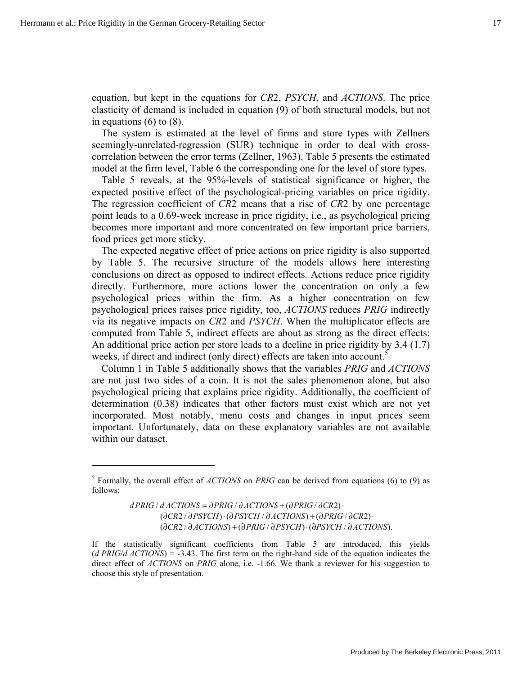$\overline{a}$ 

equation, but kept in the equations for *CR*2, *PSYCH*, and *ACTIONS*. The price elasticity of demand is included in equation (9) of both structural models, but not in equations  $(6)$  to  $(8)$ .

The system is estimated at the level of firms and store types with Zellners seemingly-unrelated-regression (SUR) technique in order to deal with crosscorrelation between the error terms (Zellner, 1963). Table 5 presents the estimated model at the firm level, Table 6 the corresponding one for the level of store types.

Table 5 reveals, at the 95%-levels of statistical significance or higher, the expected positive effect of the psychological-pricing variables on price rigidity. The regression coefficient of *CR*2 means that a rise of *CR*2 by one percentage point leads to a 0.69-week increase in price rigidity, i.e., as psychological pricing becomes more important and more concentrated on few important price barriers, food prices get more sticky.

The expected negative effect of price actions on price rigidity is also supported by Table 5. The recursive structure of the models allows here interesting conclusions on direct as opposed to indirect effects. Actions reduce price rigidity directly. Furthermore, more actions lower the concentration on only a few psychological prices within the firm. As a higher concentration on few psychological prices raises price rigidity, too, *ACTIONS* reduces *PRIG* indirectly via its negative impacts on *CR*2 and *PSYCH*. When the multiplicator effects are computed from Table 5, indirect effects are about as strong as the direct effects: An additional price action per store leads to a decline in price rigidity by 3.4 (1.7) weeks, if direct and indirect (only direct) effects are taken into account.<sup>5</sup>

Column 1 in Table 5 additionally shows that the variables *PRIG* and *ACTIONS* are not just two sides of a coin. It is not the sales phenomenon alone, but also psychological pricing that explains price rigidity. Additionally, the coefficient of determination (0.38) indicates that other factors must exist which are not yet incorporated. Most notably, menu costs and changes in input prices seem important. Unfortunately, data on these explanatory variables are not available within our dataset.

(∂CR2 / ∂ ACTIONS) + (∂PRIG / ∂PSYCH) · (∂PSYCH / ∂ ACTIONS). (∂CR2 / ∂PSYCH) · (∂PSYCH / ∂ACTIONS) + (∂PRIG / ∂CR2) ·  $dPRIG/dACTIONS = \partial PRIG/\partial ACTIONS + (\partial PRIG/\partial CR2) \cdot$ 

<sup>&</sup>lt;sup>5</sup> Formally, the overall effect of *ACTIONS* on *PRIG* can be derived from equations (6) to (9) as follows:

If the statistically significant coefficients from Table 5 are introduced, this yields (*d PRIG*/*d ACTIONS*) = -3.43. The first term on the right-hand side of the equation indicates the direct effect of *ACTIONS* on *PRIG* alone, i.e. -1.66. We thank a reviewer for his suggestion to choose this style of presentation.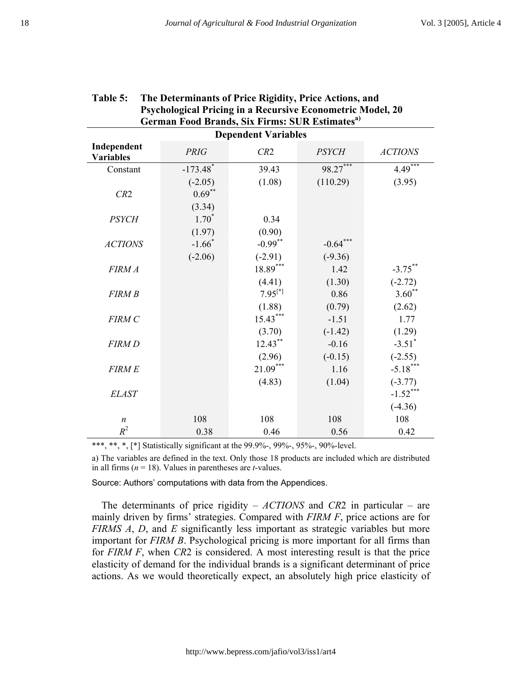| <b>Dependent Variables</b>      |                        |              |              |                      |  |
|---------------------------------|------------------------|--------------|--------------|----------------------|--|
| Independent<br><b>Variables</b> | <b>PRIG</b>            | CR2          | <b>PSYCH</b> | <b>ACTIONS</b>       |  |
| Constant                        | $-173.48$ <sup>*</sup> | 39.43        | 98.27***     | 4.49                 |  |
|                                 | $(-2.05)$              | (1.08)       | (110.29)     | (3.95)               |  |
| CR2                             | $0.69**$               |              |              |                      |  |
|                                 | (3.34)                 |              |              |                      |  |
| <b>PSYCH</b>                    | $1.70*$                | 0.34         |              |                      |  |
|                                 | (1.97)                 | (0.90)       |              |                      |  |
| <b>ACTIONS</b>                  | $-1.66*$               | $-0.99$ **   | $-0.64***$   |                      |  |
|                                 | $(-2.06)$              | $(-2.91)$    | $(-9.36)$    |                      |  |
| <b>FIRM A</b>                   |                        | 18.89***     | 1.42         | $-3.75***$           |  |
|                                 |                        | (4.41)       | (1.30)       | $(-2.72)$            |  |
| <b>FIRM B</b>                   |                        | $7.95^{[*]}$ | 0.86         | $3.60**$             |  |
|                                 |                        | (1.88)       | (0.79)       | (2.62)               |  |
| <b>FIRM C</b>                   |                        | $15.43***$   | $-1.51$      | 1.77                 |  |
|                                 |                        | (3.70)       | $(-1.42)$    | (1.29)               |  |
| <b>FIRM D</b>                   |                        | $12.43***$   | $-0.16$      | $-3.51$ <sup>*</sup> |  |
|                                 |                        | (2.96)       | $(-0.15)$    | $(-2.55)$            |  |
| <b>FIRM E</b>                   |                        | $21.09***$   | 1.16         | $-5.18***$           |  |
|                                 |                        | (4.83)       | (1.04)       | $(-3.77)$            |  |
| <b>ELAST</b>                    |                        |              |              | $-1.52***$           |  |
|                                 |                        |              |              | $(-4.36)$            |  |
| $\boldsymbol{n}$                | 108                    | 108          | 108          | 108                  |  |
| $R^2$                           | 0.38                   | 0.46         | 0.56         | 0.42                 |  |

# **Table 5: The Determinants of Price Rigidity, Price Actions, and Psychological Pricing in a Recursive Econometric Model, 20 German Food Brands, Six Firms: SUR Estimatesa)**

\*\*\*, \*\*, \*, [\*] Statistically significant at the 99.9%-, 99%-, 95%-, 90%-level.

a) The variables are defined in the text. Only those 18 products are included which are distributed in all firms  $(n = 18)$ . Values in parentheses are *t*-values.

Source: Authors' computations with data from the Appendices.

The determinants of price rigidity – *ACTIONS* and *CR*2 in particular – are mainly driven by firms' strategies. Compared with *FIRM F*, price actions are for *FIRMS A*, *D*, and *E* significantly less important as strategic variables but more important for *FIRM B*. Psychological pricing is more important for all firms than for *FIRM F*, when *CR*2 is considered. A most interesting result is that the price elasticity of demand for the individual brands is a significant determinant of price actions. As we would theoretically expect, an absolutely high price elasticity of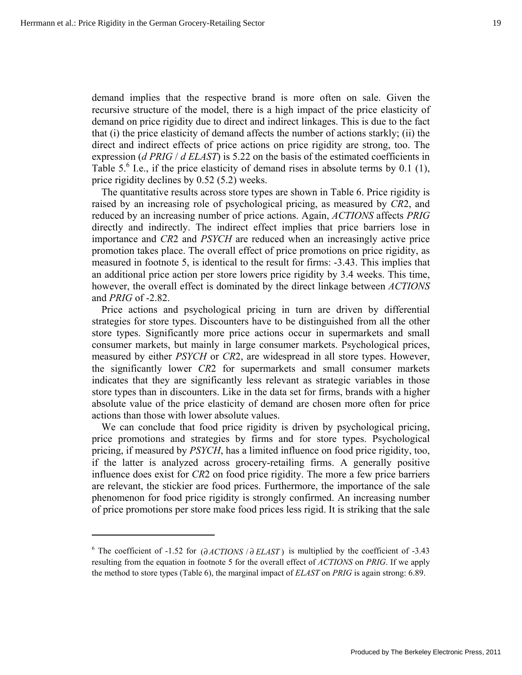$\overline{a}$ 

demand implies that the respective brand is more often on sale. Given the recursive structure of the model, there is a high impact of the price elasticity of demand on price rigidity due to direct and indirect linkages. This is due to the fact that (i) the price elasticity of demand affects the number of actions starkly; (ii) the direct and indirect effects of price actions on price rigidity are strong, too. The expression (*d PRIG* / *d ELAST*) is 5.22 on the basis of the estimated coefficients in Table 5. $^6$  I.e., if the price elasticity of demand rises in absolute terms by 0.1 (1), price rigidity declines by 0.52 (5.2) weeks.

The quantitative results across store types are shown in Table 6. Price rigidity is raised by an increasing role of psychological pricing, as measured by *CR*2, and reduced by an increasing number of price actions. Again, *ACTIONS* affects *PRIG* directly and indirectly. The indirect effect implies that price barriers lose in importance and *CR*2 and *PSYCH* are reduced when an increasingly active price promotion takes place. The overall effect of price promotions on price rigidity, as measured in footnote 5, is identical to the result for firms: -3.43. This implies that an additional price action per store lowers price rigidity by 3.4 weeks. This time, however, the overall effect is dominated by the direct linkage between *ACTIONS* and *PRIG* of -2.82.

Price actions and psychological pricing in turn are driven by differential strategies for store types. Discounters have to be distinguished from all the other store types. Significantly more price actions occur in supermarkets and small consumer markets, but mainly in large consumer markets. Psychological prices, measured by either *PSYCH* or *CR*2, are widespread in all store types. However, the significantly lower *CR*2 for supermarkets and small consumer markets indicates that they are significantly less relevant as strategic variables in those store types than in discounters. Like in the data set for firms, brands with a higher absolute value of the price elasticity of demand are chosen more often for price actions than those with lower absolute values.

We can conclude that food price rigidity is driven by psychological pricing, price promotions and strategies by firms and for store types. Psychological pricing, if measured by *PSYCH*, has a limited influence on food price rigidity, too, if the latter is analyzed across grocery-retailing firms. A generally positive influence does exist for *CR*2 on food price rigidity. The more a few price barriers are relevant, the stickier are food prices. Furthermore, the importance of the sale phenomenon for food price rigidity is strongly confirmed. An increasing number of price promotions per store make food prices less rigid. It is striking that the sale

<sup>6</sup> The coefficient of -1.52 for (∂*ACTIONS* / ∂ *ELAST* ) is multiplied by the coefficient of -3.43 resulting from the equation in footnote 5 for the overall effect of *ACTIONS* on *PRIG*. If we apply the method to store types (Table 6), the marginal impact of *ELAST* on *PRIG* is again strong: 6.89.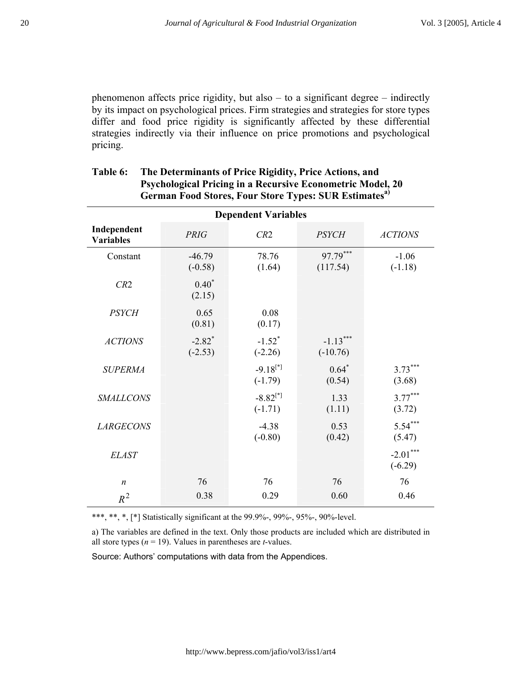phenomenon affects price rigidity, but also  $-$  to a significant degree  $-$  indirectly by its impact on psychological prices. Firm strategies and strategies for store types differ and food price rigidity is significantly affected by these differential strategies indirectly via their influence on price promotions and psychological pricing.

| <b>Dependent Variables</b>      |                                   |                                     |                          |                         |
|---------------------------------|-----------------------------------|-------------------------------------|--------------------------|-------------------------|
| Independent<br><b>Variables</b> | <b>PRIG</b>                       | CR2                                 | <b>PSYCH</b>             | <b>ACTIONS</b>          |
| Constant                        | $-46.79$<br>$(-0.58)$             | 78.76<br>(1.64)                     | 97.79***<br>(117.54)     | $-1.06$<br>$(-1.18)$    |
| CR2                             | $0.40*$<br>(2.15)                 |                                     |                          |                         |
| <b>PSYCH</b>                    | 0.65<br>(0.81)                    | 0.08<br>(0.17)                      |                          |                         |
| <b>ACTIONS</b>                  | $-2.82$ <sup>*</sup><br>$(-2.53)$ | $-1.52$ <sup>*</sup><br>$(-2.26)$   | $-1.13***$<br>$(-10.76)$ |                         |
| <b>SUPERMA</b>                  |                                   | $-9.18$ <sup>[*]</sup><br>$(-1.79)$ | $0.64*$<br>(0.54)        | $3.73***$<br>(3.68)     |
| <b>SMALLCONS</b>                |                                   | $-8.82$ <sup>[*]</sup><br>$(-1.71)$ | 1.33<br>(1.11)           | $3.77***$<br>(3.72)     |
| <b>LARGECONS</b>                |                                   | $-4.38$<br>$(-0.80)$                | 0.53<br>(0.42)           | $5.54***$<br>(5.47)     |
| <b>ELAST</b>                    |                                   |                                     |                          | $-2.01***$<br>$(-6.29)$ |
| $\boldsymbol{n}$                | 76                                | 76                                  | 76                       | 76                      |
| $R^2$                           | 0.38                              | 0.29                                | 0.60                     | 0.46                    |

# **Table 6: The Determinants of Price Rigidity, Price Actions, and Psychological Pricing in a Recursive Econometric Model, 20 German Food Stores, Four Store Types: SUR Estimatesa)**

\*\*\*, \*\*,  $*$ , [\*] Statistically significant at the 99.9%-, 99%-, 95%-, 90%-level.

a) The variables are defined in the text. Only those products are included which are distributed in all store types ( $n = 19$ ). Values in parentheses are *t*-values.

Source: Authors' computations with data from the Appendices.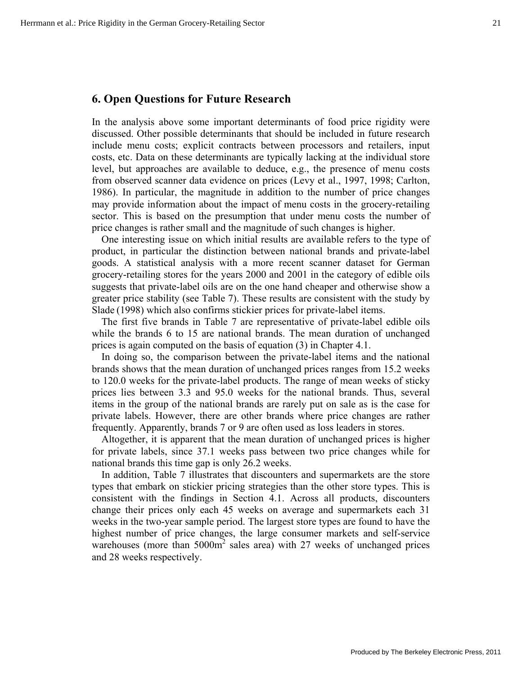#### **6. Open Questions for Future Research**

In the analysis above some important determinants of food price rigidity were discussed. Other possible determinants that should be included in future research include menu costs; explicit contracts between processors and retailers, input costs, etc. Data on these determinants are typically lacking at the individual store level, but approaches are available to deduce, e.g., the presence of menu costs from observed scanner data evidence on prices (Levy et al., 1997, 1998; Carlton, 1986). In particular, the magnitude in addition to the number of price changes may provide information about the impact of menu costs in the grocery-retailing sector. This is based on the presumption that under menu costs the number of price changes is rather small and the magnitude of such changes is higher.

One interesting issue on which initial results are available refers to the type of product, in particular the distinction between national brands and private-label goods. A statistical analysis with a more recent scanner dataset for German grocery-retailing stores for the years 2000 and 2001 in the category of edible oils suggests that private-label oils are on the one hand cheaper and otherwise show a greater price stability (see Table 7). These results are consistent with the study by Slade (1998) which also confirms stickier prices for private-label items.

The first five brands in Table 7 are representative of private-label edible oils while the brands 6 to 15 are national brands. The mean duration of unchanged prices is again computed on the basis of equation (3) in Chapter 4.1.

In doing so, the comparison between the private-label items and the national brands shows that the mean duration of unchanged prices ranges from 15.2 weeks to 120.0 weeks for the private-label products. The range of mean weeks of sticky prices lies between 3.3 and 95.0 weeks for the national brands. Thus, several items in the group of the national brands are rarely put on sale as is the case for private labels. However, there are other brands where price changes are rather frequently. Apparently, brands 7 or 9 are often used as loss leaders in stores.

Altogether, it is apparent that the mean duration of unchanged prices is higher for private labels, since 37.1 weeks pass between two price changes while for national brands this time gap is only 26.2 weeks.

In addition, Table 7 illustrates that discounters and supermarkets are the store types that embark on stickier pricing strategies than the other store types. This is consistent with the findings in Section 4.1. Across all products, discounters change their prices only each 45 weeks on average and supermarkets each 31 weeks in the two-year sample period. The largest store types are found to have the highest number of price changes, the large consumer markets and self-service warehouses (more than  $5000m<sup>2</sup>$  sales area) with 27 weeks of unchanged prices and 28 weeks respectively.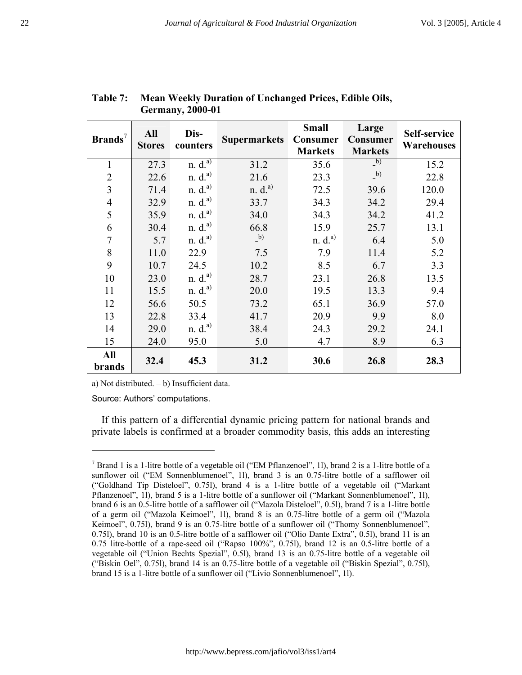| $\mathbf{Brands}^7$      | All<br><b>Stores</b> | Dis-<br>counters      | <b>Supermarkets</b> | <b>Small</b><br>Consumer<br><b>Markets</b> | Large<br>Consumer<br><b>Markets</b> | Self-service<br><b>Warehouses</b> |
|--------------------------|----------------------|-----------------------|---------------------|--------------------------------------------|-------------------------------------|-----------------------------------|
| $\mathbf{1}$             | 27.3                 | $n. d.$ <sup>a)</sup> | 31.2                | 35.6                                       | $\overline{b}$                      | 15.2                              |
| $\overline{2}$           | 22.6                 | n. d. <sup>a)</sup>   | 21.6                | 23.3                                       | (b)                                 | 22.8                              |
| 3                        | 71.4                 | n. d. <sup>a</sup>    | n. d. <sup>a)</sup> | 72.5                                       | 39.6                                | 120.0                             |
| $\overline{\mathcal{A}}$ | 32.9                 | n. d. <sup>a)</sup>   | 33.7                | 34.3                                       | 34.2                                | 29.4                              |
| 5                        | 35.9                 | n. d. <sup>a)</sup>   | 34.0                | 34.3                                       | 34.2                                | 41.2                              |
| 6                        | 30.4                 | n. d. <sup>a)</sup>   | 66.8                | 15.9                                       | 25.7                                | 13.1                              |
| $\overline{7}$           | 5.7                  | n. d <sup>a</sup>     | (b)                 | n. d. <sup>a)</sup>                        | 6.4                                 | 5.0                               |
| $\,$ $\,$                | 11.0                 | 22.9                  | 7.5                 | 7.9                                        | 11.4                                | 5.2                               |
| 9                        | 10.7                 | 24.5                  | 10.2                | 8.5                                        | 6.7                                 | 3.3                               |
| 10                       | 23.0                 | n. d. <sup>a)</sup>   | 28.7                | 23.1                                       | 26.8                                | 13.5                              |
| 11                       | 15.5                 | n. d. <sup>a)</sup>   | 20.0                | 19.5                                       | 13.3                                | 9.4                               |
| 12                       | 56.6                 | 50.5                  | 73.2                | 65.1                                       | 36.9                                | 57.0                              |
| 13                       | 22.8                 | 33.4                  | 41.7                | 20.9                                       | 9.9                                 | 8.0                               |
| 14                       | 29.0                 | n. d <sup>a</sup>     | 38.4                | 24.3                                       | 29.2                                | 24.1                              |
| 15                       | 24.0                 | 95.0                  | 5.0                 | 4.7                                        | 8.9                                 | 6.3                               |
| All<br><b>brands</b>     | 32.4                 | 45.3                  | 31.2                | 30.6                                       | 26.8                                | 28.3                              |

# **Table 7: Mean Weekly Duration of Unchanged Prices, Edible Oils, Germany, 2000-01**

a) Not distributed.  $- b$ ) Insufficient data.

Source: Authors' computations.

 $\overline{a}$ 

If this pattern of a differential dynamic pricing pattern for national brands and private labels is confirmed at a broader commodity basis, this adds an interesting

<sup>&</sup>lt;sup>7</sup> Brand 1 is a 1-litre bottle of a vegetable oil ("EM Pflanzenoel", 11), brand 2 is a 1-litre bottle of a sunflower oil ("EM Sonnenblumenoel", 11), brand 3 is an 0.75-litre bottle of a safflower oil ("Goldhand Tip Disteloel", 0.75l), brand 4 is a 1-litre bottle of a vegetable oil ("Markant Pflanzenoel", 1l), brand 5 is a 1-litre bottle of a sunflower oil ("Markant Sonnenblumenoel", 1l), brand 6 is an 0.5-litre bottle of a safflower oil ("Mazola Disteloel", 0.5l), brand 7 is a 1-litre bottle of a germ oil ("Mazola Keimoel", 1l), brand 8 is an 0.75-litre bottle of a germ oil ("Mazola Keimoel", 0.75l), brand 9 is an 0.75-litre bottle of a sunflower oil ("Thomy Sonnenblumenoel", 0.75l), brand 10 is an 0.5-litre bottle of a safflower oil ("Olio Dante Extra", 0.5l), brand 11 is an 0.75 litre-bottle of a rape-seed oil ("Rapso 100%", 0.75l), brand 12 is an 0.5-litre bottle of a vegetable oil ("Union Bechts Spezial", 0.5l), brand 13 is an 0.75-litre bottle of a vegetable oil ("Biskin Oel", 0.75l), brand 14 is an 0.75-litre bottle of a vegetable oil ("Biskin Spezial", 0.75l), brand 15 is a 1-litre bottle of a sunflower oil ("Livio Sonnenblumenoel", 1l).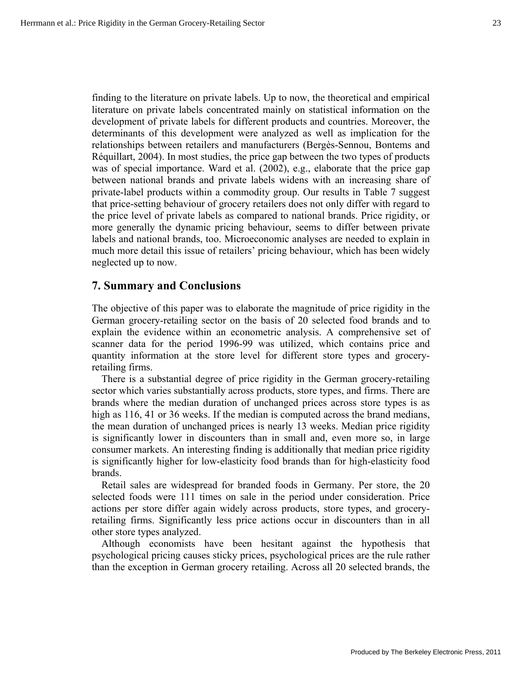finding to the literature on private labels. Up to now, the theoretical and empirical literature on private labels concentrated mainly on statistical information on the development of private labels for different products and countries. Moreover, the determinants of this development were analyzed as well as implication for the relationships between retailers and manufacturers (Bergès-Sennou, Bontems and Réquillart, 2004). In most studies, the price gap between the two types of products was of special importance. Ward et al. (2002), e.g., elaborate that the price gap between national brands and private labels widens with an increasing share of private-label products within a commodity group. Our results in Table 7 suggest that price-setting behaviour of grocery retailers does not only differ with regard to the price level of private labels as compared to national brands. Price rigidity, or more generally the dynamic pricing behaviour, seems to differ between private labels and national brands, too. Microeconomic analyses are needed to explain in much more detail this issue of retailers' pricing behaviour, which has been widely neglected up to now.

### **7. Summary and Conclusions**

The objective of this paper was to elaborate the magnitude of price rigidity in the German grocery-retailing sector on the basis of 20 selected food brands and to explain the evidence within an econometric analysis. A comprehensive set of scanner data for the period 1996-99 was utilized, which contains price and quantity information at the store level for different store types and groceryretailing firms.

There is a substantial degree of price rigidity in the German grocery-retailing sector which varies substantially across products, store types, and firms. There are brands where the median duration of unchanged prices across store types is as high as 116, 41 or 36 weeks. If the median is computed across the brand medians, the mean duration of unchanged prices is nearly 13 weeks. Median price rigidity is significantly lower in discounters than in small and, even more so, in large consumer markets. An interesting finding is additionally that median price rigidity is significantly higher for low-elasticity food brands than for high-elasticity food brands.

Retail sales are widespread for branded foods in Germany. Per store, the 20 selected foods were 111 times on sale in the period under consideration. Price actions per store differ again widely across products, store types, and groceryretailing firms. Significantly less price actions occur in discounters than in all other store types analyzed.

Although economists have been hesitant against the hypothesis that psychological pricing causes sticky prices, psychological prices are the rule rather than the exception in German grocery retailing. Across all 20 selected brands, the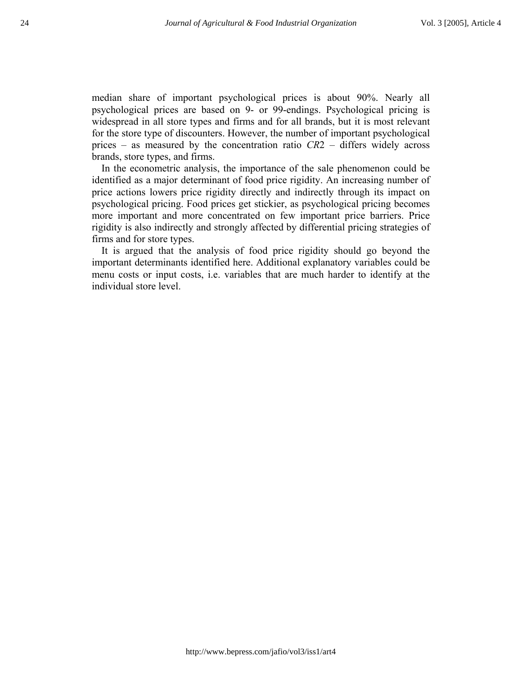median share of important psychological prices is about 90%. Nearly all psychological prices are based on 9- or 99-endings. Psychological pricing is widespread in all store types and firms and for all brands, but it is most relevant for the store type of discounters. However, the number of important psychological prices – as measured by the concentration ratio *CR*2 – differs widely across brands, store types, and firms.

In the econometric analysis, the importance of the sale phenomenon could be identified as a major determinant of food price rigidity. An increasing number of price actions lowers price rigidity directly and indirectly through its impact on psychological pricing. Food prices get stickier, as psychological pricing becomes more important and more concentrated on few important price barriers. Price rigidity is also indirectly and strongly affected by differential pricing strategies of firms and for store types.

It is argued that the analysis of food price rigidity should go beyond the important determinants identified here. Additional explanatory variables could be menu costs or input costs, i.e. variables that are much harder to identify at the individual store level.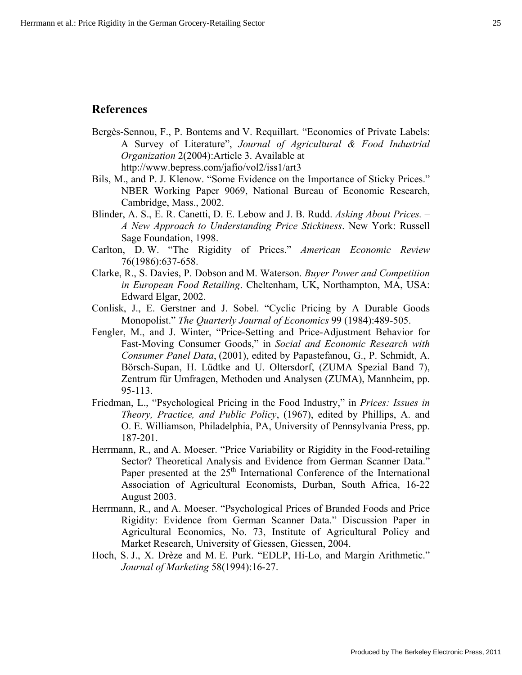# **References**

- Bergès-Sennou, F., P. Bontems and V. Requillart. "Economics of Private Labels: A Survey of Literature", *Journal of Agricultural & Food Industrial Organization* 2(2004):Article 3. Available at http://www.bepress.com/jafio/vol2/iss1/art3
- Bils, M., and P. J. Klenow. "Some Evidence on the Importance of Sticky Prices." NBER Working Paper 9069, National Bureau of Economic Research, Cambridge, Mass., 2002.
- Blinder, A. S., E. R. Canetti, D. E. Lebow and J. B. Rudd. *Asking About Prices. A New Approach to Understanding Price Stickiness*. New York: Russell Sage Foundation, 1998.
- Carlton, D. W. "The Rigidity of Prices." *American Economic Review* 76(1986):637-658.
- Clarke, R., S. Davies, P. Dobson and M. Waterson. *Buyer Power and Competition in European Food Retailing*. Cheltenham, UK, Northampton, MA, USA: Edward Elgar, 2002.
- Conlisk, J., E. Gerstner and J. Sobel. "Cyclic Pricing by A Durable Goods Monopolist." *The Quarterly Journal of Economics* 99 (1984):489-505.
- Fengler, M., and J. Winter, "Price-Setting and Price-Adjustment Behavior for Fast-Moving Consumer Goods," in *Social and Economic Research with Consumer Panel Data*, (2001), edited by Papastefanou, G., P. Schmidt, A. Börsch-Supan, H. Lüdtke and U. Oltersdorf, (ZUMA Spezial Band 7), Zentrum für Umfragen, Methoden und Analysen (ZUMA), Mannheim, pp. 95-113.
- Friedman, L., "Psychological Pricing in the Food Industry," in *Prices: Issues in Theory, Practice, and Public Policy*, (1967), edited by Phillips, A. and O. E. Williamson, Philadelphia, PA, University of Pennsylvania Press, pp. 187-201.
- Herrmann, R., and A. Moeser. "Price Variability or Rigidity in the Food-retailing Sector? Theoretical Analysis and Evidence from German Scanner Data." Paper presented at the  $25<sup>th</sup>$  International Conference of the International Association of Agricultural Economists, Durban, South Africa, 16-22 August 2003.
- Herrmann, R., and A. Moeser. "Psychological Prices of Branded Foods and Price Rigidity: Evidence from German Scanner Data." Discussion Paper in Agricultural Economics, No. 73, Institute of Agricultural Policy and Market Research, University of Giessen, Giessen, 2004.
- Hoch, S. J., X. Drèze and M. E. Purk. "EDLP, Hi-Lo, and Margin Arithmetic." *Journal of Marketing* 58(1994):16-27.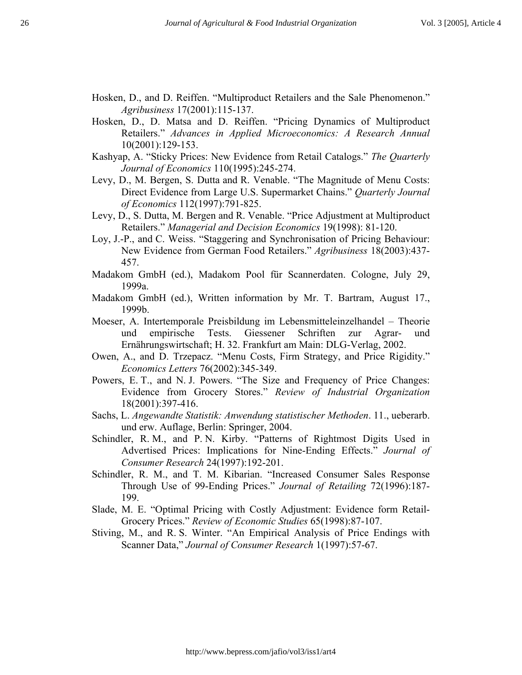- Hosken, D., and D. Reiffen. "Multiproduct Retailers and the Sale Phenomenon." *Agribusiness* 17(2001):115-137.
- Hosken, D., D. Matsa and D. Reiffen. "Pricing Dynamics of Multiproduct Retailers." *Advances in Applied Microeconomics: A Research Annual* 10(2001):129-153.
- Kashyap, A. "Sticky Prices: New Evidence from Retail Catalogs." *The Quarterly Journal of Economics* 110(1995):245-274.
- Levy, D., M. Bergen, S. Dutta and R. Venable. "The Magnitude of Menu Costs: Direct Evidence from Large U.S. Supermarket Chains." *Quarterly Journal of Economics* 112(1997):791-825.
- Levy, D., S. Dutta, M. Bergen and R. Venable. "Price Adjustment at Multiproduct Retailers." *Managerial and Decision Economics* 19(1998): 81-120.
- Loy, J.-P., and C. Weiss. "Staggering and Synchronisation of Pricing Behaviour: New Evidence from German Food Retailers." *Agribusiness* 18(2003):437- 457.
- Madakom GmbH (ed.), Madakom Pool für Scannerdaten. Cologne, July 29, 1999a.
- Madakom GmbH (ed.), Written information by Mr. T. Bartram, August 17., 1999b.
- Moeser, A. Intertemporale Preisbildung im Lebensmitteleinzelhandel Theorie und empirische Tests. Giessener Schriften zur Agrar- und Ernährungswirtschaft; H. 32. Frankfurt am Main: DLG-Verlag, 2002.
- Owen, A., and D. Trzepacz. "Menu Costs, Firm Strategy, and Price Rigidity." *Economics Letters* 76(2002):345-349.
- Powers, E. T., and N. J. Powers. "The Size and Frequency of Price Changes: Evidence from Grocery Stores." *Review of Industrial Organization* 18(2001):397-416.
- Sachs, L. *Angewandte Statistik: Anwendung statistischer Methoden*. 11., ueberarb. und erw. Auflage, Berlin: Springer, 2004.
- Schindler, R. M., and P. N. Kirby. "Patterns of Rightmost Digits Used in Advertised Prices: Implications for Nine-Ending Effects." *Journal of Consumer Research* 24(1997):192-201.
- Schindler, R. M., and T. M. Kibarian. "Increased Consumer Sales Response Through Use of 99-Ending Prices." *Journal of Retailing* 72(1996):187- 199.
- Slade, M. E. "Optimal Pricing with Costly Adjustment: Evidence form Retail-Grocery Prices." *Review of Economic Studies* 65(1998):87-107.
- Stiving, M., and R. S. Winter. "An Empirical Analysis of Price Endings with Scanner Data," *Journal of Consumer Research* 1(1997):57-67.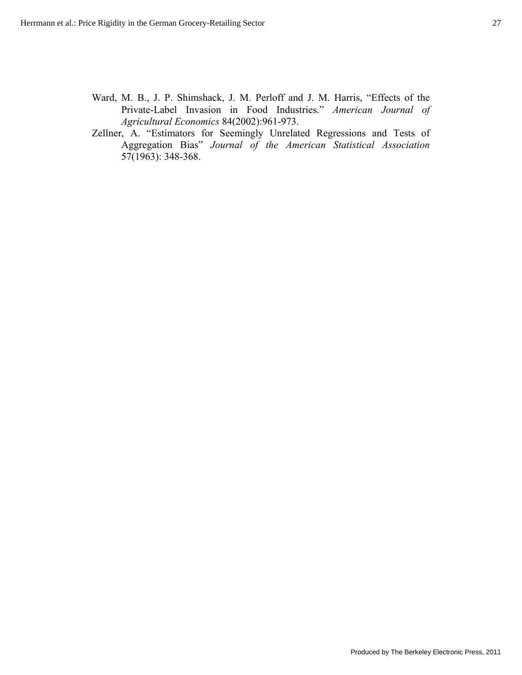- Ward, M. B., J. P. Shimshack, J. M. Perloff and J. M. Harris, "Effects of the Private-Label Invasion in Food Industries." *American Journal of Agricultural Economics* 84(2002):961-973.
- Zellner, A. "Estimators for Seemingly Unrelated Regressions and Tests of Aggregation Bias" *Journal of the American Statistical Association* 57(1963): 348-368.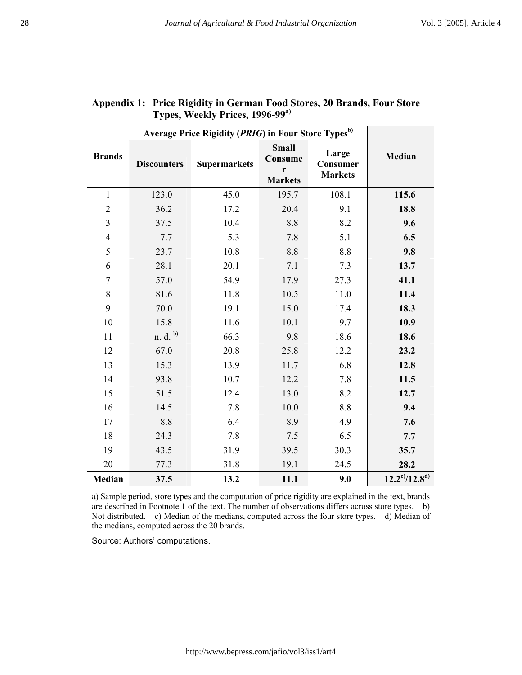|                          | Average Price Rigidity (PRIG) in Four Store Types <sup>b)</sup> |                     |                                                |                                     |                              |
|--------------------------|-----------------------------------------------------------------|---------------------|------------------------------------------------|-------------------------------------|------------------------------|
| <b>Brands</b>            | <b>Discounters</b>                                              | <b>Supermarkets</b> | <b>Small</b><br>Consume<br>r<br><b>Markets</b> | Large<br>Consumer<br><b>Markets</b> | Median                       |
| $\mathbf{1}$             | 123.0                                                           | 45.0                | 195.7                                          | 108.1                               | 115.6                        |
| $\overline{c}$           | 36.2                                                            | 17.2                | 20.4                                           | 9.1                                 | 18.8                         |
| $\overline{\mathbf{3}}$  | 37.5                                                            | 10.4                | 8.8                                            | 8.2                                 | 9.6                          |
| $\overline{\mathcal{L}}$ | 7.7                                                             | 5.3                 | 7.8                                            | 5.1                                 | 6.5                          |
| 5                        | 23.7                                                            | 10.8                | 8.8                                            | 8.8                                 | 9.8                          |
| $\boldsymbol{6}$         | 28.1                                                            | 20.1                | 7.1                                            | 7.3                                 | 13.7                         |
| $\overline{7}$           | 57.0                                                            | 54.9                | 17.9                                           | 27.3                                | 41.1                         |
| 8                        | 81.6                                                            | 11.8                | 10.5                                           | 11.0                                | 11.4                         |
| 9                        | 70.0                                                            | 19.1                | 15.0                                           | 17.4                                | 18.3                         |
| 10                       | 15.8                                                            | 11.6                | 10.1                                           | 9.7                                 | 10.9                         |
| 11                       | n. d. b)                                                        | 66.3                | 9.8                                            | 18.6                                | 18.6                         |
| 12                       | 67.0                                                            | 20.8                | 25.8                                           | 12.2                                | 23.2                         |
| 13                       | 15.3                                                            | 13.9                | 11.7                                           | 6.8                                 | 12.8                         |
| 14                       | 93.8                                                            | 10.7                | 12.2                                           | 7.8                                 | 11.5                         |
| 15                       | 51.5                                                            | 12.4                | 13.0                                           | 8.2                                 | 12.7                         |
| 16                       | 14.5                                                            | 7.8                 | 10.0                                           | 8.8                                 | 9.4                          |
| 17                       | 8.8                                                             | 6.4                 | 8.9                                            | 4.9                                 | 7.6                          |
| 18                       | 24.3                                                            | 7.8                 | 7.5                                            | 6.5                                 | 7.7                          |
| 19                       | 43.5                                                            | 31.9                | 39.5                                           | 30.3                                | 35.7                         |
| 20                       | 77.3                                                            | 31.8                | 19.1                                           | 24.5                                | 28.2                         |
| Median                   | 37.5                                                            | 13.2                | 11.1                                           | 9.0                                 | $12.2^{\rm c})/12.8^{\rm d}$ |

# **Appendix 1: Price Rigidity in German Food Stores, 20 Brands, Four Store Types, Weekly Prices, 1996-99a)**

a) Sample period, store types and the computation of price rigidity are explained in the text, brands are described in Footnote 1 of the text. The number of observations differs across store types. – b) Not distributed. – c) Median of the medians, computed across the four store types. – d) Median of the medians, computed across the 20 brands.

Source: Authors' computations.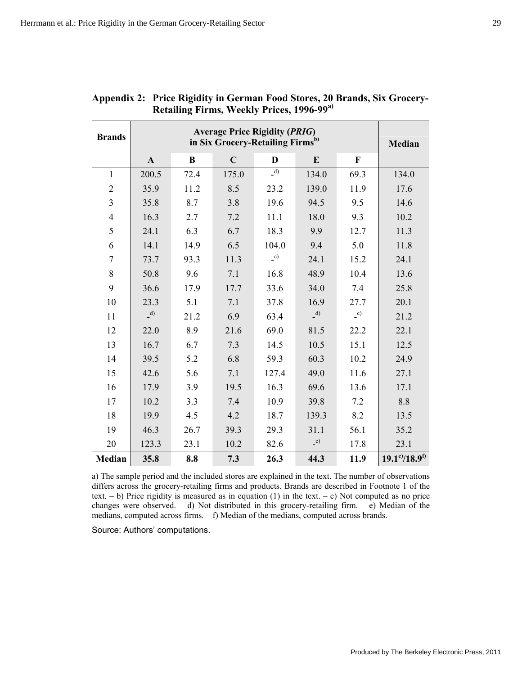| <b>Brands</b>  | <b>Average Price Rigidity (PRIG)</b><br>in Six Grocery-Retailing Firms <sup>b)</sup> |          |             |                |                | <b>Median</b>  |                                   |
|----------------|--------------------------------------------------------------------------------------|----------|-------------|----------------|----------------|----------------|-----------------------------------|
|                | $\mathbf{A}$                                                                         | $\bf{B}$ | $\mathbf C$ | D              | $\bf{E}$       | $\mathbf F$    |                                   |
| $\mathbf{1}$   | 200.5                                                                                | 72.4     | 175.0       | (d)            | 134.0          | 69.3           | 134.0                             |
| $\overline{2}$ | 35.9                                                                                 | 11.2     | 8.5         | 23.2           | 139.0          | 11.9           | 17.6                              |
| $\overline{3}$ | 35.8                                                                                 | 8.7      | 3.8         | 19.6           | 94.5           | 9.5            | 14.6                              |
| $\overline{4}$ | 16.3                                                                                 | 2.7      | 7.2         | 11.1           | 18.0           | 9.3            | 10.2                              |
| 5              | 24.1                                                                                 | 6.3      | 6.7         | 18.3           | 9.9            | 12.7           | 11.3                              |
| 6              | 14.1                                                                                 | 14.9     | 6.5         | 104.0          | 9.4            | 5.0            | 11.8                              |
| $\tau$         | 73.7                                                                                 | 93.3     | 11.3        | $\overline{c}$ | 24.1           | 15.2           | 24.1                              |
| 8              | 50.8                                                                                 | 9.6      | 7.1         | 16.8           | 48.9           | 10.4           | 13.6                              |
| 9              | 36.6                                                                                 | 17.9     | 17.7        | 33.6           | 34.0           | 7.4            | 25.8                              |
| 10             | 23.3                                                                                 | 5.1      | 7.1         | 37.8           | 16.9           | 27.7           | 20.1                              |
| 11             | (d)                                                                                  | 21.2     | 6.9         | 63.4           | (d)            | $\overline{c}$ | 21.2                              |
| 12             | 22.0                                                                                 | 8.9      | 21.6        | 69.0           | 81.5           | 22.2           | 22.1                              |
| 13             | 16.7                                                                                 | 6.7      | 7.3         | 14.5           | 10.5           | 15.1           | 12.5                              |
| 14             | 39.5                                                                                 | 5.2      | 6.8         | 59.3           | 60.3           | 10.2           | 24.9                              |
| 15             | 42.6                                                                                 | 5.6      | 7.1         | 127.4          | 49.0           | 11.6           | 27.1                              |
| 16             | 17.9                                                                                 | 3.9      | 19.5        | 16.3           | 69.6           | 13.6           | 17.1                              |
| 17             | 10.2                                                                                 | 3.3      | 7.4         | 10.9           | 39.8           | 7.2            | 8.8                               |
| 18             | 19.9                                                                                 | 4.5      | 4.2         | 18.7           | 139.3          | 8.2            | 13.5                              |
| 19             | 46.3                                                                                 | 26.7     | 39.3        | 29.3           | 31.1           | 56.1           | 35.2                              |
| 20             | 123.3                                                                                | 23.1     | 10.2        | 82.6           | $\overline{c}$ | 17.8           | 23.1                              |
| <b>Median</b>  | 35.8                                                                                 | 8.8      | 7.3         | 26.3           | 44.3           | 11.9           | $19.1^{\text{e}}/18.9^{\text{f}}$ |

| Appendix 2: Price Rigidity in German Food Stores, 20 Brands, Six Grocery- |
|---------------------------------------------------------------------------|
| Retailing Firms, Weekly Prices, 1996-99 <sup>a)</sup>                     |

a) The sample period and the included stores are explained in the text. The number of observations differs across the grocery-retailing firms and products. Brands are described in Footnote 1 of the text.  $-$  b) Price rigidity is measured as in equation (1) in the text.  $-$  c) Not computed as no price changes were observed.  $-$  d) Not distributed in this grocery-retailing firm.  $-$  e) Median of the medians, computed across firms. – f) Median of the medians, computed across brands.

Source: Authors' computations.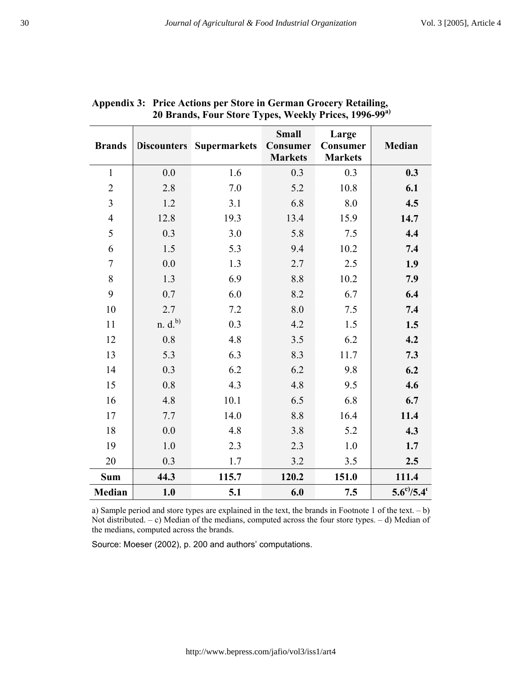| <b>Brands</b>    | <b>Discounters</b>  | <b>Supermarkets</b> | <b>Small</b><br>Consumer<br><b>Markets</b> | Large<br>Consumer<br><b>Markets</b> | Median                    |
|------------------|---------------------|---------------------|--------------------------------------------|-------------------------------------|---------------------------|
| $\mathbf{1}$     | 0.0                 | 1.6                 | 0.3                                        | 0.3                                 | 0.3                       |
| $\overline{2}$   | 2.8                 | 7.0                 | 5.2                                        | 10.8                                | 6.1                       |
| $\overline{3}$   | 1.2                 | 3.1                 | 6.8                                        | 8.0                                 | 4.5                       |
| $\overline{4}$   | 12.8                | 19.3                | 13.4                                       | 15.9                                | 14.7                      |
| 5                | 0.3                 | 3.0                 | 5.8                                        | 7.5                                 | 4.4                       |
| 6                | 1.5                 | 5.3                 | 9.4                                        | 10.2                                | 7.4                       |
| $\boldsymbol{7}$ | 0.0                 | 1.3                 | 2.7                                        | 2.5                                 | 1.9                       |
| 8                | 1.3                 | 6.9                 | 8.8                                        | 10.2                                | 7.9                       |
| 9                | 0.7                 | 6.0                 | 8.2                                        | 6.7                                 | 6.4                       |
| 10               | 2.7                 | 7.2                 | 8.0                                        | 7.5                                 | 7.4                       |
| 11               | n. d. <sup>b)</sup> | 0.3                 | 4.2                                        | 1.5                                 | 1.5                       |
| 12               | 0.8                 | 4.8                 | 3.5                                        | 6.2                                 | 4.2                       |
| 13               | 5.3                 | 6.3                 | 8.3                                        | 11.7                                | 7.3                       |
| 14               | 0.3                 | 6.2                 | 6.2                                        | 9.8                                 | 6.2                       |
| 15               | 0.8                 | 4.3                 | 4.8                                        | 9.5                                 | 4.6                       |
| 16               | 4.8                 | 10.1                | 6.5                                        | 6.8                                 | 6.7                       |
| 17               | 7.7                 | 14.0                | 8.8                                        | 16.4                                | 11.4                      |
| 18               | 0.0                 | 4.8                 | 3.8                                        | 5.2                                 | 4.3                       |
| 19               | 1.0                 | 2.3                 | 2.3                                        | 1.0                                 | 1.7                       |
| 20               | 0.3                 | 1.7                 | 3.2                                        | 3.5                                 | 2.5                       |
| <b>Sum</b>       | 44.3                | 115.7               | 120.2                                      | 151.0                               | 111.4                     |
| <b>Median</b>    | 1.0                 | 5.1                 | 6.0                                        | 7.5                                 | $5.6^{\circ}/5.4^{\circ}$ |

| Appendix 3: Price Actions per Store in German Grocery Retailing,  |
|-------------------------------------------------------------------|
| 20 Brands, Four Store Types, Weekly Prices, 1996-99 <sup>a)</sup> |

a) Sample period and store types are explained in the text, the brands in Footnote 1 of the text. – b) Not distributed. – c) Median of the medians, computed across the four store types. – d) Median of the medians, computed across the brands.

Source: Moeser (2002), p. 200 and authors' computations.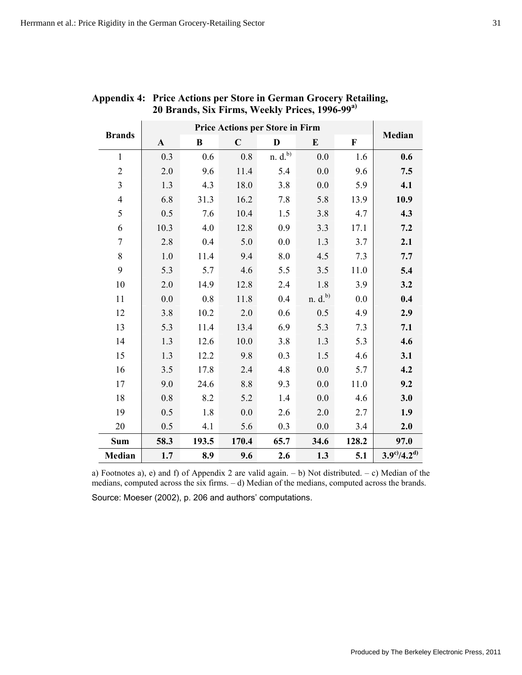| <b>Brands</b>            |              |          |             |                     |                     |             |                                   |
|--------------------------|--------------|----------|-------------|---------------------|---------------------|-------------|-----------------------------------|
|                          | $\mathbf{A}$ | $\bf{B}$ | $\mathbf C$ | D                   | E                   | $\mathbf F$ | Median                            |
| $\mathbf{1}$             | 0.3          | 0.6      | 0.8         | n. d. <sup>b)</sup> | 0.0                 | 1.6         | 0.6                               |
| $\overline{2}$           | 2.0          | 9.6      | 11.4        | 5.4                 | 0.0                 | 9.6         | 7.5                               |
| $\overline{\mathbf{3}}$  | 1.3          | 4.3      | 18.0        | 3.8                 | 0.0                 | 5.9         | 4.1                               |
| $\overline{\mathcal{L}}$ | 6.8          | 31.3     | 16.2        | 7.8                 | 5.8                 | 13.9        | 10.9                              |
| 5                        | 0.5          | 7.6      | 10.4        | 1.5                 | 3.8                 | 4.7         | 4.3                               |
| 6                        | 10.3         | 4.0      | 12.8        | 0.9                 | 3.3                 | 17.1        | 7.2                               |
| $\tau$                   | 2.8          | 0.4      | 5.0         | 0.0                 | 1.3                 | 3.7         | 2.1                               |
| 8                        | 1.0          | 11.4     | 9.4         | 8.0                 | 4.5                 | 7.3         | 7.7                               |
| 9                        | 5.3          | 5.7      | 4.6         | 5.5                 | 3.5                 | 11.0        | 5.4                               |
| 10                       | 2.0          | 14.9     | 12.8        | 2.4                 | 1.8                 | 3.9         | 3.2                               |
| 11                       | 0.0          | 0.8      | 11.8        | 0.4                 | n. d. <sup>b)</sup> | 0.0         | 0.4                               |
| 12                       | 3.8          | 10.2     | 2.0         | 0.6                 | 0.5                 | 4.9         | 2.9                               |
| 13                       | 5.3          | 11.4     | 13.4        | 6.9                 | 5.3                 | 7.3         | 7.1                               |
| 14                       | 1.3          | 12.6     | 10.0        | 3.8                 | 1.3                 | 5.3         | 4.6                               |
| 15                       | 1.3          | 12.2     | 9.8         | 0.3                 | 1.5                 | 4.6         | 3.1                               |
| 16                       | 3.5          | 17.8     | 2.4         | 4.8                 | 0.0                 | 5.7         | 4.2                               |
| 17                       | 9.0          | 24.6     | 8.8         | 9.3                 | 0.0                 | 11.0        | 9.2                               |
| 18                       | 0.8          | 8.2      | 5.2         | 1.4                 | 0.0                 | 4.6         | 3.0                               |
| 19                       | 0.5          | 1.8      | 0.0         | 2.6                 | 2.0                 | 2.7         | 1.9                               |
| 20                       | 0.5          | 4.1      | 5.6         | 0.3                 | 0.0                 | 3.4         | 2.0                               |
| Sum                      | 58.3         | 193.5    | 170.4       | 65.7                | 34.6                | 128.2       | 97.0                              |
| Median                   | 1.7          | 8.9      | 9.6         | 2.6                 | 1.3                 | 5.1         | $3.9^{\rm c})$ /4.2 <sup>d)</sup> |

## **Appendix 4: Price Actions per Store in German Grocery Retailing, 20 Brands, Six Firms, Weekly Prices, 1996-99a)**

a) Footnotes a), e) and f) of Appendix 2 are valid again. – b) Not distributed. – c) Median of the medians, computed across the six firms. – d) Median of the medians, computed across the brands.

Source: Moeser (2002), p. 206 and authors' computations.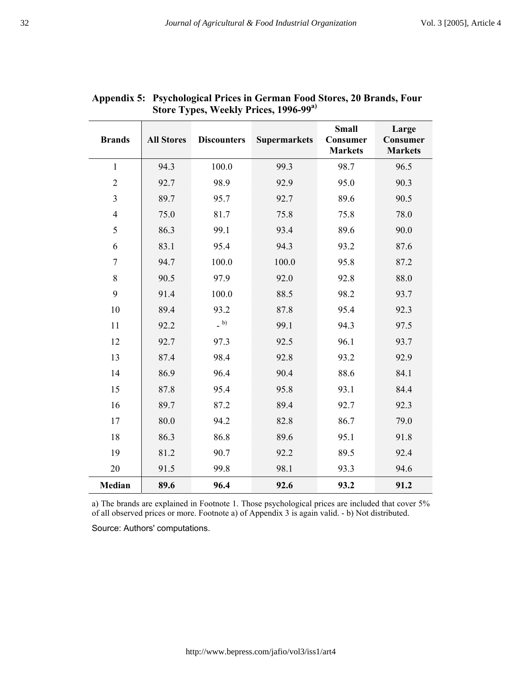| <b>Brands</b>    | <b>All Stores</b> | <b>Discounters</b> | <b>Supermarkets</b> | <b>Small</b><br>Consumer<br><b>Markets</b> | Large<br>Consumer<br><b>Markets</b> |
|------------------|-------------------|--------------------|---------------------|--------------------------------------------|-------------------------------------|
| $\mathbf{1}$     | 94.3              | 100.0              | 99.3                | 98.7                                       | 96.5                                |
| $\boldsymbol{2}$ | 92.7              | 98.9               | 92.9                | 95.0                                       | 90.3                                |
| $\overline{3}$   | 89.7              | 95.7               | 92.7                | 89.6                                       | 90.5                                |
| $\overline{4}$   | 75.0              | 81.7               | 75.8                | 75.8                                       | 78.0                                |
| 5                | 86.3              | 99.1               | 93.4                | 89.6                                       | 90.0                                |
| 6                | 83.1              | 95.4               | 94.3                | 93.2                                       | 87.6                                |
| $\tau$           | 94.7              | 100.0              | 100.0               | 95.8                                       | 87.2                                |
| $\,8\,$          | 90.5              | 97.9               | 92.0                | 92.8                                       | 88.0                                |
| 9                | 91.4              | 100.0              | 88.5                | 98.2                                       | 93.7                                |
| 10               | 89.4              | 93.2               | 87.8                | 95.4                                       | 92.3                                |
| 11               | 92.2              | (b)                | 99.1                | 94.3                                       | 97.5                                |
| 12               | 92.7              | 97.3               | 92.5                | 96.1                                       | 93.7                                |
| 13               | 87.4              | 98.4               | 92.8                | 93.2                                       | 92.9                                |
| 14               | 86.9              | 96.4               | 90.4                | 88.6                                       | 84.1                                |
| 15               | 87.8              | 95.4               | 95.8                | 93.1                                       | 84.4                                |
| 16               | 89.7              | 87.2               | 89.4                | 92.7                                       | 92.3                                |
| 17               | 80.0              | 94.2               | 82.8                | 86.7                                       | 79.0                                |
| 18               | 86.3              | 86.8               | 89.6                | 95.1                                       | 91.8                                |
| 19               | 81.2              | 90.7               | 92.2                | 89.5                                       | 92.4                                |
| 20               | 91.5              | 99.8               | 98.1                | 93.3                                       | 94.6                                |
| Median           | 89.6              | 96.4               | 92.6                | 93.2                                       | 91.2                                |

## **Appendix 5: Psychological Prices in German Food Stores, 20 Brands, Four Store Types, Weekly Prices, 1996-99a)**

a) The brands are explained in Footnote 1. Those psychological prices are included that cover 5% of all observed prices or more. Footnote a) of Appendix 3 is again valid. - b) Not distributed.

Source: Authors' computations.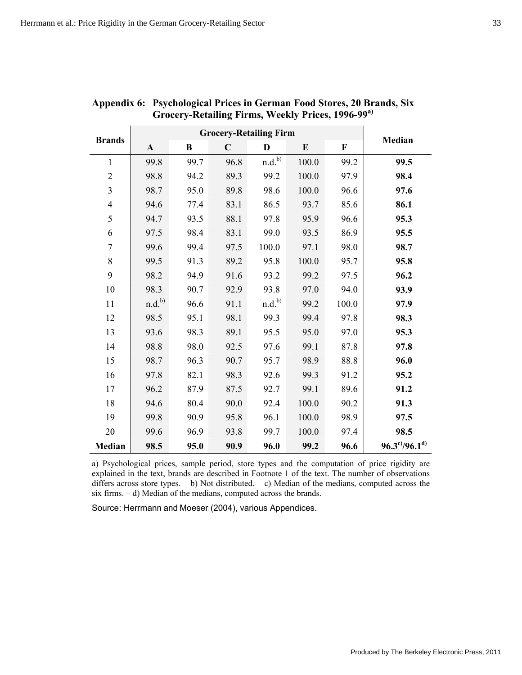| <b>Brands</b>  | $\mathbf{A}$      | $\bf{B}$ | $\mathbf C$ | D                  | $\bf{E}$ | $\mathbf F$ | <b>Median</b>               |
|----------------|-------------------|----------|-------------|--------------------|----------|-------------|-----------------------------|
| $\mathbf{1}$   | 99.8              | 99.7     | 96.8        | n.d. <sup>b)</sup> | 100.0    | 99.2        | 99.5                        |
| $\overline{2}$ | 98.8              | 94.2     | 89.3        | 99.2               | 100.0    | 97.9        | 98.4                        |
| 3              | 98.7              | 95.0     | 89.8        | 98.6               | 100.0    | 96.6        | 97.6                        |
| $\overline{4}$ | 94.6              | 77.4     | 83.1        | 86.5               | 93.7     | 85.6        | 86.1                        |
| 5              | 94.7              | 93.5     | 88.1        | 97.8               | 95.9     | 96.6        | 95.3                        |
| 6              | 97.5              | 98.4     | 83.1        | 99.0               | 93.5     | 86.9        | 95.5                        |
| $\tau$         | 99.6              | 99.4     | 97.5        | 100.0              | 97.1     | 98.0        | 98.7                        |
| 8              | 99.5              | 91.3     | 89.2        | 95.8               | 100.0    | 95.7        | 95.8                        |
| 9              | 98.2              | 94.9     | 91.6        | 93.2               | 99.2     | 97.5        | 96.2                        |
| 10             | 98.3              | 90.7     | 92.9        | 93.8               | 97.0     | 94.0        | 93.9                        |
| 11             | n.d. <sup>b</sup> | 96.6     | 91.1        | n.d. <sup>b</sup>  | 99.2     | 100.0       | 97.9                        |
| 12             | 98.5              | 95.1     | 98.1        | 99.3               | 99.4     | 97.8        | 98.3                        |
| 13             | 93.6              | 98.3     | 89.1        | 95.5               | 95.0     | 97.0        | 95.3                        |
| 14             | 98.8              | 98.0     | 92.5        | 97.6               | 99.1     | 87.8        | 97.8                        |
| 15             | 98.7              | 96.3     | 90.7        | 95.7               | 98.9     | 88.8        | 96.0                        |
| 16             | 97.8              | 82.1     | 98.3        | 92.6               | 99.3     | 91.2        | 95.2                        |
| 17             | 96.2              | 87.9     | 87.5        | 92.7               | 99.1     | 89.6        | 91.2                        |
| 18             | 94.6              | 80.4     | 90.0        | 92.4               | 100.0    | 90.2        | 91.3                        |
| 19             | 99.8              | 90.9     | 95.8        | 96.1               | 100.0    | 98.9        | 97.5                        |
| 20             | 99.6              | 96.9     | 93.8        | 99.7               | 100.0    | 97.4        | 98.5                        |
| Median         | 98.5              | 95.0     | 90.9        | 96.0               | 99.2     | 96.6        | $96.3^{\circ}/96.1^{\circ}$ |

**Appendix 6: Psychological Prices in German Food Stores, 20 Brands, Six Grocery-Retailing Firms, Weekly Prices, 1996-99a)** 

a) Psychological prices, sample period, store types and the computation of price rigidity are explained in the text, brands are described in Footnote 1 of the text. The number of observations differs across store types.  $- b$ ) Not distributed.  $- c$ ) Median of the medians, computed across the six firms. – d) Median of the medians, computed across the brands.

Source: Herrmann and Moeser (2004), various Appendices.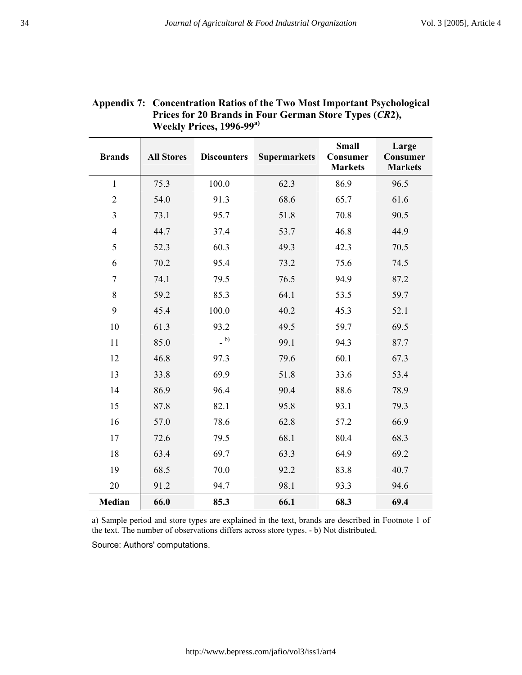| Weekly Prices, 1996-99ª' |                   |                    |                     |                                            |                                     |  |  |
|--------------------------|-------------------|--------------------|---------------------|--------------------------------------------|-------------------------------------|--|--|
| <b>Brands</b>            | <b>All Stores</b> | <b>Discounters</b> | <b>Supermarkets</b> | <b>Small</b><br>Consumer<br><b>Markets</b> | Large<br>Consumer<br><b>Markets</b> |  |  |
| $\mathbf{1}$             | 75.3              | 100.0              | 62.3                | 86.9                                       | 96.5                                |  |  |
| $\overline{2}$           | 54.0              | 91.3               | 68.6                | 65.7                                       | 61.6                                |  |  |
| 3                        | 73.1              | 95.7               | 51.8                | 70.8                                       | 90.5                                |  |  |
| $\overline{4}$           | 44.7              | 37.4               | 53.7                | 46.8                                       | 44.9                                |  |  |
| 5                        | 52.3              | 60.3               | 49.3                | 42.3                                       | 70.5                                |  |  |
| 6                        | 70.2              | 95.4               | 73.2                | 75.6                                       | 74.5                                |  |  |
| $\boldsymbol{7}$         | 74.1              | 79.5               | 76.5                | 94.9                                       | 87.2                                |  |  |
| 8                        | 59.2              | 85.3               | 64.1                | 53.5                                       | 59.7                                |  |  |
| 9                        | 45.4              | 100.0              | 40.2                | 45.3                                       | 52.1                                |  |  |
| 10                       | 61.3              | 93.2               | 49.5                | 59.7                                       | 69.5                                |  |  |
| 11                       | 85.0              | (b)                | 99.1                | 94.3                                       | 87.7                                |  |  |
| 12                       | 46.8              | 97.3               | 79.6                | 60.1                                       | 67.3                                |  |  |
| 13                       | 33.8              | 69.9               | 51.8                | 33.6                                       | 53.4                                |  |  |
| 14                       | 86.9              | 96.4               | 90.4                | 88.6                                       | 78.9                                |  |  |
| 15                       | 87.8              | 82.1               | 95.8                | 93.1                                       | 79.3                                |  |  |
| 16                       | 57.0              | 78.6               | 62.8                | 57.2                                       | 66.9                                |  |  |
| 17                       | 72.6              | 79.5               | 68.1                | 80.4                                       | 68.3                                |  |  |
| 18                       | 63.4              | 69.7               | 63.3                | 64.9                                       | 69.2                                |  |  |
| 19                       | 68.5              | 70.0               | 92.2                | 83.8                                       | 40.7                                |  |  |
| 20                       | 91.2              | 94.7               | 98.1                | 93.3                                       | 94.6                                |  |  |
| Median                   | 66.0              | 85.3               | 66.1                | 68.3                                       | 69.4                                |  |  |

# **Appendix 7: Concentration Ratios of the Two Most Important Psychological Prices for 20 Brands in Four German Store Types (***CR***2), Weekly Prices, 1996-99a)**

a) Sample period and store types are explained in the text, brands are described in Footnote 1 of the text. The number of observations differs across store types. - b) Not distributed.

Source: Authors' computations.